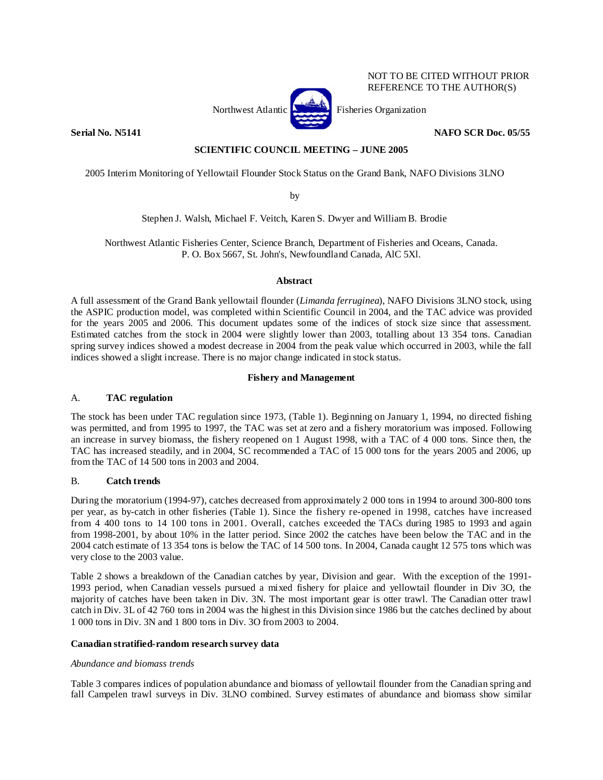## NOT TO BE CITED WITHOUT PRIOR REFERENCE TO THE AUTHOR(S)



**Serial No. N5141 NAFO SCR Doc. 05/55** 

## **SCIENTIFIC COUNCIL MEETING – JUNE 2005**

2005 Interim Monitoring of Yellowtail Flounder Stock Status on the Grand Bank, NAFO Divisions 3LNO

by

Stephen J. Walsh, Michael F. Veitch, Karen S. Dwyer and William B. Brodie

Northwest Atlantic Fisheries Center, Science Branch, Department of Fisheries and Oceans, Canada. P. O. Box 5667, St. John's, Newfoundland Canada, AlC 5Xl.

## **Abstract**

A full assessment of the Grand Bank yellowtail flounder (*Limanda ferruginea*), NAFO Divisions 3LNO stock, using the ASPIC production model, was completed within Scientific Council in 2004, and the TAC advice was provided for the years 2005 and 2006. This document updates some of the indices of stock size since that assessment. Estimated catches from the stock in 2004 were slightly lower than 2003, totalling about 13 354 tons. Canadian spring survey indices showed a modest decrease in 2004 from the peak value which occurred in 2003, while the fall indices showed a slight increase. There is no major change indicated in stock status.

## **Fishery and Management**

## A. **TAC regulation**

The stock has been under TAC regulation since 1973, (Table 1). Beginning on January 1, 1994, no directed fishing was permitted, and from 1995 to 1997, the TAC was set at zero and a fishery moratorium was imposed. Following an increase in survey biomass, the fishery reopened on 1 August 1998, with a TAC of 4 000 tons. Since then, the TAC has increased steadily, and in 2004, SC recommended a TAC of 15 000 tons for the years 2005 and 2006, up from the TAC of 14 500 tons in 2003 and 2004.

## B. **Catch trends**

During the moratorium (1994-97), catches decreased from approximately 2 000 tons in 1994 to around 300-800 tons per year, as by-catch in other fisheries (Table 1). Since the fishery re-opened in 1998, catches have increased from 4 400 tons to 14 100 tons in 2001. Overall, catches exceeded the TACs during 1985 to 1993 and again from 1998-2001, by about 10% in the latter period. Since 2002 the catches have been below the TAC and in the 2004 catch estimate of 13 354 tons is below the TAC of 14 500 tons. In 2004, Canada caught 12 575 tons which was very close to the 2003 value.

Table 2 shows a breakdown of the Canadian catches by year, Division and gear. With the exception of the 1991- 1993 period, when Canadian vessels pursued a mixed fishery for plaice and yellowtail flounder in Div 3O, the majority of catches have been taken in Div. 3N. The most important gear is otter trawl. The Canadian otter trawl catch in Div. 3L of 42 760 tons in 2004 was the highest in this Division since 1986 but the catches declined by about 1 000 tons in Div. 3N and 1 800 tons in Div. 3O from 2003 to 2004.

## **Canadian stratified-random research survey data**

## *Abundance and biomass trends*

Table 3 compares indices of population abundance and biomass of yellowtail flounder from the Canadian spring and fall Campelen trawl surveys in Div. 3LNO combined. Survey estimates of abundance and biomass show similar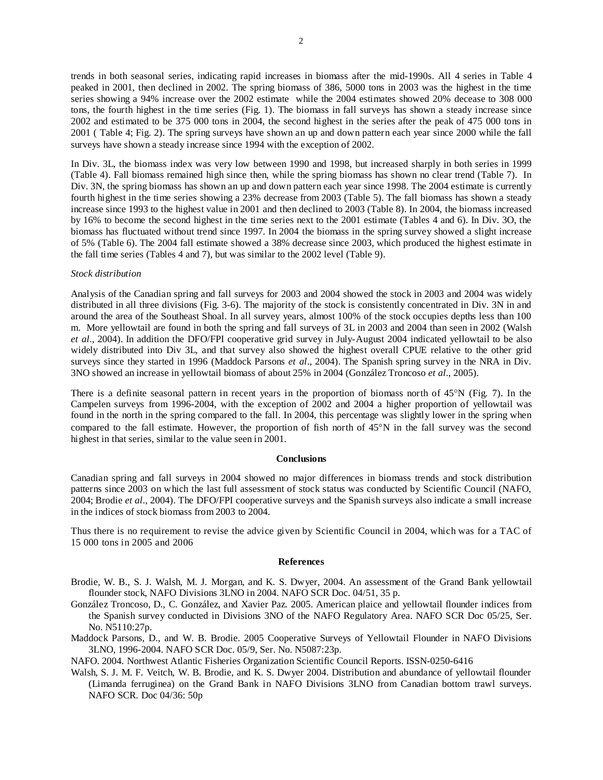trends in both seasonal series, indicating rapid increases in biomass after the mid-1990s. All 4 series in Table 4 peaked in 2001, then declined in 2002. The spring biomass of 386, 5000 tons in 2003 was the highest in the time series showing a 94% increase over the 2002 estimate while the 2004 estimates showed 20% decease to 308 000 tons, the fourth highest in the time series (Fig. 1). The biomass in fall surveys has shown a steady increase since 2002 and estimated to be 375 000 tons in 2004, the second highest in the series after the peak of 475 000 tons in 2001 ( Table 4; Fig. 2). The spring surveys have shown an up and down pattern each year since 2000 while the fall surveys have shown a steady increase since 1994 with the exception of 2002.

In Div. 3L, the biomass index was very low between 1990 and 1998, but increased sharply in both series in 1999 (Table 4). Fall biomass remained high since then, while the spring biomass has shown no clear trend (Table 7). In Div. 3N, the spring biomass has shown an up and down pattern each year since 1998. The 2004 estimate is currently fourth highest in the time series showing a 23% decrease from 2003 (Table 5). The fall biomass has shown a steady increase since 1993 to the highest value in 2001 and then declined to 2003 (Table 8). In 2004, the biomass increased by 16% to become the second highest in the time series next to the 2001 estimate (Tables 4 and 6). In Div. 3O, the biomass has fluctuated without trend since 1997. In 2004 the biomass in the spring survey showed a slight increase of 5% (Table 6). The 2004 fall estimate showed a 38% decrease since 2003, which produced the highest estimate in the fall time series (Tables 4 and 7), but was similar to the 2002 level (Table 9).

### *Stock distribution*

Analysis of the Canadian spring and fall surveys for 2003 and 2004 showed the stock in 2003 and 2004 was widely distributed in all three divisions (Fig. 3-6). The majority of the stock is consistently concentrated in Div. 3N in and around the area of the Southeast Shoal. In all survey years, almost 100% of the stock occupies depths less than 100 m. More yellowtail are found in both the spring and fall surveys of 3L in 2003 and 2004 than seen in 2002 (Walsh *et al*., 2004). In addition the DFO/FPI cooperative grid survey in July-August 2004 indicated yellowtail to be also widely distributed into Div 3L, and that survey also showed the highest overall CPUE relative to the other grid surveys since they started in 1996 (Maddock Parsons *et al*., 2004). The Spanish spring survey in the NRA in Div. 3NO showed an increase in yellowtail biomass of about 25% in 2004 (González Troncoso *et al*., 2005).

There is a definite seasonal pattern in recent years in the proportion of biomass north of 45°N (Fig. 7). In the Campelen surveys from 1996-2004, with the exception of 2002 and 2004 a higher proportion of yellowtail was found in the north in the spring compared to the fall. In 2004, this percentage was slightly lower in the spring when compared to the fall estimate. However, the proportion of fish north of 45°N in the fall survey was the second highest in that series, similar to the value seen in 2001.

#### **Conclusions**

Canadian spring and fall surveys in 2004 showed no major differences in biomass trends and stock distribution patterns since 2003 on which the last full assessment of stock status was conducted by Scientific Council (NAFO, 2004; Brodie *et al*., 2004). The DFO/FPI cooperative surveys and the Spanish surveys also indicate a small increase in the indices of stock biomass from 2003 to 2004.

Thus there is no requirement to revise the advice given by Scientific Council in 2004, which was for a TAC of 15 000 tons in 2005 and 2006

#### **References**

- Brodie, W. B., S. J. Walsh, M. J. Morgan, and K. S. Dwyer, 2004. An assessment of the Grand Bank yellowtail flounder stock, NAFO Divisions 3LNO in 2004. NAFO SCR Doc. 04/51, 35 p.
- González Troncoso, D., C. González, and Xavier Paz. 2005. American plaice and yellowtail flounder indices from the Spanish survey conducted in Divisions 3NO of the NAFO Regulatory Area. NAFO SCR Doc 05/25, Ser. No. N5110:27p.

Maddock Parsons, D., and W. B. Brodie. 2005 Cooperative Surveys of Yellowtail Flounder in NAFO Divisions 3LNO, 1996-2004. NAFO SCR Doc. 05/9, Ser. No. N5087:23p.

NAFO. 2004. Northwest Atlantic Fisheries Organization Scientific Council Reports. ISSN-0250-6416

Walsh, S. J. M. F. Veitch, W. B. Brodie, and K. S. Dwyer 2004. Distribution and abundance of yellowtail flounder (Limanda ferruginea) on the Grand Bank in NAFO Divisions 3LNO from Canadian bottom trawl surveys. NAFO SCR. Doc 04/36: 50p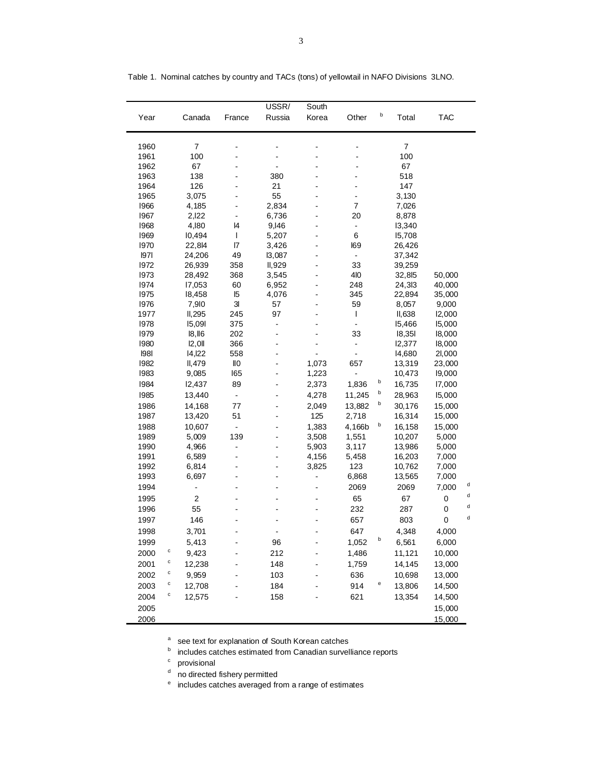|      |                |                | USSR/          | South                    |                |   |                |            |   |
|------|----------------|----------------|----------------|--------------------------|----------------|---|----------------|------------|---|
| Year | Canada         | France         | Russia         | Korea                    | Other          | b | Total          | <b>TAC</b> |   |
| 1960 | $\overline{7}$ |                |                |                          |                |   | $\overline{7}$ |            |   |
| 1961 | 100            |                |                | ä,                       |                |   | 100            |            |   |
| 1962 | 67             |                |                |                          |                |   | 67             |            |   |
| 1963 | 138            |                | 380            | ÷                        |                |   | 518            |            |   |
| 1964 | 126            |                | 21             | $\blacksquare$           | $\blacksquare$ |   | 147            |            |   |
| 1965 | 3,075          |                | 55             |                          | $\overline{a}$ |   | 3,130          |            |   |
| 1966 | 4,185          |                | 2,834          | $\overline{a}$           | 7              |   | 7,026          |            |   |
| 1967 | 2,122          | $\blacksquare$ | 6,736          | ÷                        | 20             |   | 8,878          |            |   |
| 1968 | 4,180          | 4              | 9,146          |                          | $\blacksquare$ |   | 13,340         |            |   |
| 1969 | 10,494         | T              | 5,207          | L,                       | 6              |   | 15,708         |            |   |
| 1970 | 22,814         | 17             | 3,426          | ÷                        | <b>I69</b>     |   | 26,426         |            |   |
| 97   | 24,206         | 49             | 13,087         |                          | $\blacksquare$ |   | 37,342         |            |   |
| 1972 | 26,939         | 358            | II,929         | L,                       | 33             |   | 39,259         |            |   |
| 1973 | 28,492         | 368            | 3,545          | ÷                        | 410            |   | 32,815         | 50,000     |   |
| 1974 | 17,053         | 60             | 6,952          |                          | 248            |   | 24,313         | 40,000     |   |
| 1975 | 18,458         | 15             | 4,076          | L,                       | 345            |   | 22,894         | 35,000     |   |
| 1976 | 7,910          | 3 <sub>l</sub> | 57             | ÷                        | 59             |   | 8,057          | 9,000      |   |
| 1977 | II, 295        | 245            | 97             |                          | $\mathbf{I}$   |   | II,638         | 12,000     |   |
| 1978 | 15,091         | 375            | ÷              | L,                       | $\overline{a}$ |   | 15,466         | 15,000     |   |
| 1979 | $ 8,$ $ 6$     | 202            | ä,             | $\blacksquare$           | 33             |   | 18,351         | 18,000     |   |
| 1980 | 2,0            | 366            |                |                          | $\blacksquare$ |   | 12,377         | 18,000     |   |
| 98   | 14,122         | 558            |                |                          | $\overline{a}$ |   | 14,680         | 21,000     |   |
| 1982 | II, 479        | llО            | ä,             | 1,073                    | 657            |   | 13,319         | 23,000     |   |
| 1983 | 9,085          | 165            |                | 1,223                    |                |   | 10,473         | 19,000     |   |
| 1984 | 12,437         | 89             |                | 2,373                    | 1,836          | b | 16,735         | 17,000     |   |
| 1985 | 13,440         | $\blacksquare$ |                | 4,278                    | 11,245         | b | 28,963         | 15,000     |   |
| 1986 | 14,168         | 77             |                | 2,049                    | 13,882         | b | 30,176         | 15,000     |   |
| 1987 | 13,420         | 51             |                | 125                      | 2,718          |   | 16,314         | 15,000     |   |
| 1988 | 10,607         | $\blacksquare$ |                | 1,383                    | 4,166b         | b | 16,158         | 15,000     |   |
| 1989 | 5,009          | 139            |                | 3,508                    | 1,551          |   | 10,207         | 5,000      |   |
| 1990 | 4,966          | $\blacksquare$ | $\blacksquare$ | 5,903                    | 3,117          |   | 13,986         | 5,000      |   |
| 1991 | 6,589          | ä,             | ä,             | 4,156                    | 5,458          |   | 16,203         | 7,000      |   |
| 1992 | 6,814          |                |                | 3,825                    | 123            |   | 10,762         | 7,000      |   |
| 1993 | 6,697          | $\blacksquare$ | $\blacksquare$ | $\overline{\phantom{0}}$ | 6,868          |   | 13,565         | 7,000      |   |
| 1994 | $\overline{a}$ |                |                |                          | 2069           |   | 2069           | 7,000      | d |
| 1995 | 2              |                |                |                          | 65             |   | 67             | 0          | d |
| 1996 | 55             |                |                |                          | 232            |   | 287            | 0          | d |
| 1997 | 146            |                |                |                          | 657            |   | 803            | 0          | d |
| 1998 | 3.701          |                |                |                          | 647            |   | 4,348          | 4,000      |   |
| 1999 | 5,413          |                | 96             |                          | 1,052          | b | 6,561          | 6,000      |   |
| 2000 | c<br>9,423     |                | 212            |                          | 1,486          |   | 11,121         | 10,000     |   |
| 2001 | C<br>12,238    |                | 148            |                          | 1,759          |   | 14,145         | 13,000     |   |
| 2002 | c<br>9,959     |                | 103            |                          | 636            |   | 10,698         | 13,000     |   |
| 2003 | c<br>12,708    |                | 184            |                          | 914            | e | 13,806         | 14,500     |   |
|      | c<br>12,575    |                |                |                          |                |   |                |            |   |
| 2004 |                |                | 158            |                          | 621            |   | 13,354         | 14,500     |   |
| 2005 |                |                |                |                          |                |   |                | 15,000     |   |
| 2006 |                |                |                |                          |                |   |                | 15,000     |   |

Table 1. Nominal catches by country and TACs (tons) of yellowtail in NAFO Divisions 3LNO.

a see text for explanation of South Korean catches

**b** includes catches estimated from Canadian survelliance reports

<sup>c</sup> provisional

<sup>d</sup> no directed fishery permitted

<sup>e</sup> includes catches averaged from a range of estimates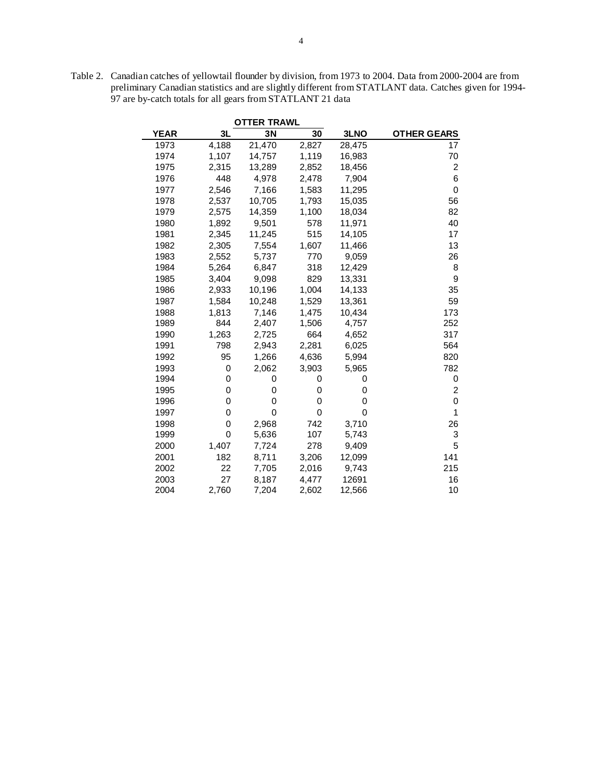|             |       | <b>OTTER TRAWL</b> |       |        |                    |
|-------------|-------|--------------------|-------|--------|--------------------|
| <b>YEAR</b> | 3L    | 3N                 | 30    | 3LNO   | <b>OTHER GEARS</b> |
| 1973        | 4,188 | 21,470             | 2,827 | 28,475 | 17                 |
| 1974        | 1,107 | 14,757             | 1,119 | 16,983 | 70                 |
| 1975        | 2,315 | 13,289             | 2,852 | 18,456 | $\overline{c}$     |
| 1976        | 448   | 4,978              | 2,478 | 7,904  | 6                  |
| 1977        | 2,546 | 7,166              | 1,583 | 11,295 | $\pmb{0}$          |
| 1978        | 2,537 | 10,705             | 1,793 | 15,035 | 56                 |
| 1979        | 2,575 | 14,359             | 1,100 | 18,034 | 82                 |
| 1980        | 1,892 | 9,501              | 578   | 11,971 | 40                 |
| 1981        | 2,345 | 11,245             | 515   | 14,105 | 17                 |
| 1982        | 2,305 | 7,554              | 1,607 | 11,466 | 13                 |
| 1983        | 2,552 | 5,737              | 770   | 9,059  | 26                 |
| 1984        | 5,264 | 6,847              | 318   | 12,429 | 8                  |
| 1985        | 3,404 | 9,098              | 829   | 13,331 | 9                  |
| 1986        | 2,933 | 10,196             | 1,004 | 14,133 | 35                 |
| 1987        | 1,584 | 10,248             | 1,529 | 13,361 | 59                 |
| 1988        | 1,813 | 7,146              | 1,475 | 10,434 | 173                |
| 1989        | 844   | 2,407              | 1,506 | 4,757  | 252                |
| 1990        | 1,263 | 2,725              | 664   | 4,652  | 317                |
| 1991        | 798   | 2,943              | 2,281 | 6,025  | 564                |
| 1992        | 95    | 1,266              | 4,636 | 5,994  | 820                |
| 1993        | 0     | 2,062              | 3,903 | 5,965  | 782                |
| 1994        | 0     | 0                  | 0     | 0      | 0                  |
| 1995        | 0     | 0                  | 0     | 0      | $\overline{c}$     |
| 1996        | 0     | 0                  | 0     | 0      | 0                  |
| 1997        | 0     | 0                  | 0     | 0      | 1                  |
| 1998        | 0     | 2,968              | 742   | 3,710  | 26                 |
| 1999        | 0     | 5,636              | 107   | 5,743  | 3                  |
| 2000        | 1,407 | 7,724              | 278   | 9,409  | 5                  |
| 2001        | 182   | 8,711              | 3,206 | 12,099 | 141                |
| 2002        | 22    | 7,705              | 2,016 | 9,743  | 215                |
| 2003        | 27    | 8,187              | 4,477 | 12691  | 16                 |
| 2004        | 2,760 | 7,204              | 2,602 | 12,566 | 10                 |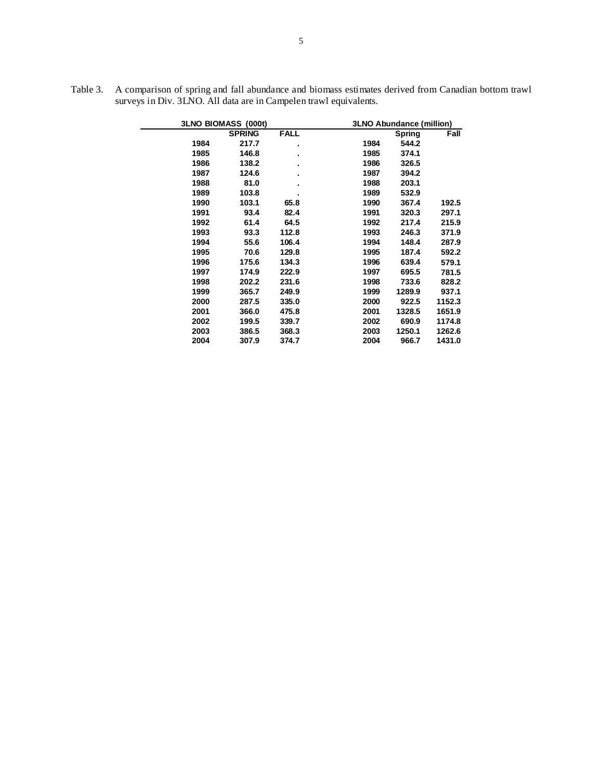|      | 3LNO BIOMASS (000t) |                | <b>3LNO Abundance (million)</b> |               |        |  |  |  |  |
|------|---------------------|----------------|---------------------------------|---------------|--------|--|--|--|--|
|      | <b>SPRING</b>       | <b>FALL</b>    |                                 | <b>Spring</b> | Fall   |  |  |  |  |
| 1984 | 217.7               | ٠              | 1984                            | 544.2         |        |  |  |  |  |
| 1985 | 146.8               | ٠              | 1985                            | 374.1         |        |  |  |  |  |
| 1986 | 138.2               | $\blacksquare$ | 1986                            | 326.5         |        |  |  |  |  |
| 1987 | 124.6               | ٠              | 1987                            | 394.2         |        |  |  |  |  |
| 1988 | 81.0                | ٠              | 1988                            | 203.1         |        |  |  |  |  |
| 1989 | 103.8               |                | 1989                            | 532.9         |        |  |  |  |  |
| 1990 | 103.1               | 65.8           | 1990                            | 367.4         | 192.5  |  |  |  |  |
| 1991 | 93.4                | 82.4           | 1991                            | 320.3         | 297.1  |  |  |  |  |
| 1992 | 61.4                | 64.5           | 1992                            | 217.4         | 215.9  |  |  |  |  |
| 1993 | 93.3                | 112.8          | 1993                            | 246.3         | 371.9  |  |  |  |  |
| 1994 | 55.6                | 106.4          | 1994                            | 148.4         | 287.9  |  |  |  |  |
| 1995 | 70.6                | 129.8          | 1995                            | 187.4         | 592.2  |  |  |  |  |
| 1996 | 175.6               | 134.3          | 1996                            | 639.4         | 579.1  |  |  |  |  |
| 1997 | 174.9               | 222.9          | 1997                            | 695.5         | 781.5  |  |  |  |  |
| 1998 | 202.2               | 231.6          | 1998                            | 733.6         | 828.2  |  |  |  |  |
| 1999 | 365.7               | 249.9          | 1999                            | 1289.9        | 937.1  |  |  |  |  |
| 2000 | 287.5               | 335.0          | 2000                            | 922.5         | 1152.3 |  |  |  |  |
| 2001 | 366.0               | 475.8          | 2001                            | 1328.5        | 1651.9 |  |  |  |  |
| 2002 | 199.5               | 339.7          | 2002                            | 690.9         | 1174.8 |  |  |  |  |
| 2003 | 386.5               | 368.3          | 2003                            | 1250.1        | 1262.6 |  |  |  |  |
| 2004 | 307.9               | 374.7          | 2004                            | 966.7         | 1431.0 |  |  |  |  |

Table 3. A comparison of spring and fall abundance and biomass estimates derived from Canadian bottom trawl surveys in Div. 3LNO. All data are in Campelen trawl equivalents.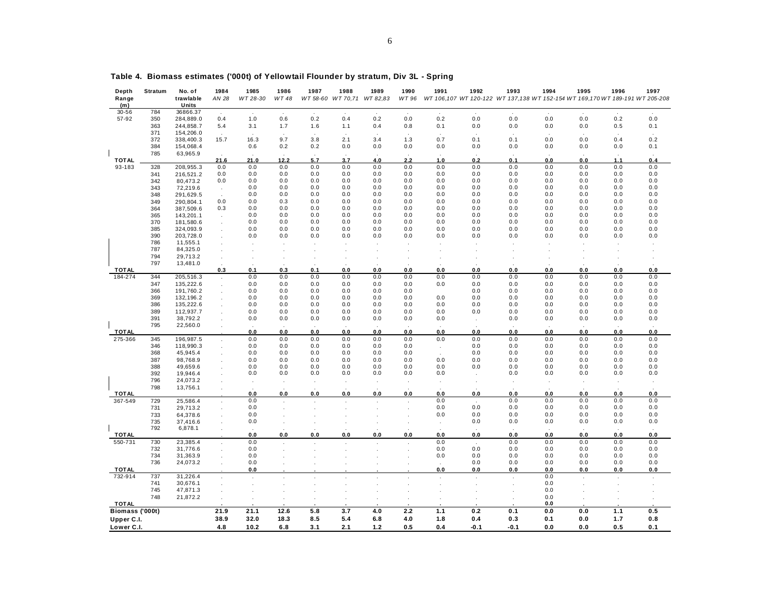| Depth           | Stratum | No. of    | 1984                 | 1985     | 1986    | 1987                 | 1988             | 1989     | 1990  | 1991 | 1992    | 1993                                                                         | 1994    | 1995  | 1996       | 1997 |
|-----------------|---------|-----------|----------------------|----------|---------|----------------------|------------------|----------|-------|------|---------|------------------------------------------------------------------------------|---------|-------|------------|------|
| Range           |         | trawlable | AN 28                | WT 28-30 | WT 48   | WT 58-60             | WT 70,71         | WT 82,83 | WT 96 |      |         | WT 106,107 WT 120-122 WT 137,138 WT 152-154 WT 169,170 WT 189-191 WT 205-208 |         |       |            |      |
| (m)             |         | Units     |                      |          |         |                      |                  |          |       |      |         |                                                                              |         |       |            |      |
| $30 - 56$       | 784     | 36866.37  |                      |          |         |                      |                  |          |       |      |         |                                                                              |         |       |            |      |
| 57-92           | 350     | 284,889.0 | 0.4                  | 1.0      | 0.6     | 0.2                  | 0.4              | 0.2      | 0.0   | 0.2  | 0.0     | $0.0$                                                                        | 0.0     | $0.0$ | 0.2        | 0.0  |
|                 | 363     | 244,858.7 | 5.4                  | 3.1      | 1.7     | 1.6                  | 1.1              | 0.4      | 0.8   | 0.1  | 0.0     | $0.0$                                                                        | 0.0     | 0.0   | 0.5        | 0.1  |
|                 | 371     | 154,206.0 |                      |          |         |                      |                  |          |       |      |         |                                                                              |         |       |            |      |
|                 | 372     | 338,400.3 | 15.7                 | 16.3     | 9.7     | 3.8                  | 2.1              | 3.4      | 1.3   | 0.7  | 0.1     | 0.1                                                                          | 0.0     | 0.0   | 0.4        | 0.2  |
|                 | 384     | 154,068.4 |                      | 0.6      | 0.2     | 0.2                  | 0.0              | $0.0\,$  | 0.0   | 0.0  | 0.0     | $0.0$                                                                        | 0.0     | 0.0   | 0.0        | 0.1  |
|                 | 785     | 63,965.9  |                      |          |         |                      |                  |          |       |      |         |                                                                              |         |       |            |      |
| <b>TOTAL</b>    |         |           | 21.6                 | 21.0     | 12.2    | 5.7                  | 3.7              | 4.0      | 2.2   | 1.0  | 0.2     | 0.1                                                                          | 0.0     | 0.0   | 1.1        | 0.4  |
| 93-183          | 328     | 208,955.3 | 0.0                  | 0.0      | 0.0     | 0.0                  | 0.0              | 0.0      | 0.0   | 0.0  | 0.0     | 0.0                                                                          | 0.0     | 0.0   | 0.0        | 0.0  |
|                 | 341     | 216,521.2 | 0.0                  | 0.0      | 0.0     | 0.0                  | 0.0              | 0.0      | 0.0   | 0.0  | 0.0     | 0.0                                                                          | 0.0     | 0.0   | 0.0        | 0.0  |
|                 | 342     | 80,473.2  | 0.0                  | 0.0      | 0.0     | 0.0                  | 0.0              | 0.0      | 0.0   | 0.0  | 0.0     | 0.0                                                                          | 0.0     | 0.0   | 0.0        | 0.0  |
|                 | 343     | 72,219.6  |                      | 0.0      | 0.0     | 0.0                  | 0.0              | 0.0      | 0.0   | 0.0  | 0.0     | 0.0                                                                          | 0.0     | 0.0   | 0.0        | 0.0  |
|                 | 348     |           |                      | 0.0      | 0.0     | 0.0                  | 0.0              | 0.0      | 0.0   | 0.0  | 0.0     | 0.0                                                                          | 0.0     | 0.0   | 0.0        | 0.0  |
|                 |         | 291,629.5 |                      |          |         |                      |                  |          |       |      |         |                                                                              |         |       |            |      |
|                 | 349     | 290,804.1 | 0.0                  | 0.0      | 0.3     | 0.0                  | 0.0              | 0.0      | 0.0   | 0.0  | 0.0     | 0.0                                                                          | 0.0     | 0.0   | 0.0        | 0.0  |
|                 | 364     | 387,509.6 | 0.3                  | 0.0      | 0.0     | 0.0                  | 0.0              | 0.0      | 0.0   | 0.0  | 0.0     | 0.0                                                                          | 0.0     | 0.0   | 0.0        | 0.0  |
|                 | 365     | 143,201.1 |                      | 0.0      | 0.0     | 0.0                  | 0.0              | 0.0      | 0.0   | 0.0  | 0.0     | 0.0                                                                          | 0.0     | 0.0   | 0.0        | 0.0  |
|                 | 370     | 181,580.6 |                      | 0.0      | 0.0     | 0.0                  | 0.0              | 0.0      | 0.0   | 0.0  | 0.0     | 0.0                                                                          | 0.0     | 0.0   | 0.0        | 0.0  |
|                 | 385     | 324,093.9 |                      | 0.0      | 0.0     | 0.0                  | 0.0              | 0.0      | 0.0   | 0.0  | 0.0     | 0.0                                                                          | 0.0     | 0.0   | 0.0        | 0.0  |
|                 | 390     | 203,728.0 |                      | 0.0      | 0.0     | 0.0                  | 0.0              | 0.0      | 0.0   | 0.0  | 0.0     | 0.0                                                                          | 0.0     | 0.0   | 0.0        | 0.0  |
|                 | 786     | 11,555.1  |                      |          |         |                      |                  |          |       |      |         |                                                                              |         |       |            |      |
|                 | 787     | 84,325.0  |                      |          |         |                      |                  |          |       |      |         |                                                                              |         |       |            |      |
|                 | 794     | 29,713.2  |                      |          |         |                      |                  |          |       |      |         |                                                                              |         |       |            |      |
|                 | 797     | 13,481.0  |                      |          |         |                      |                  |          |       |      |         |                                                                              |         |       |            |      |
| <b>TOTAL</b>    |         |           | 0.3                  | 0.1      | 0.3     | 0.1                  | 0.0              | 0.0      | 0.0   | 0.0  | 0.0     | 0.0                                                                          | 0.0     | 0.0   | 0.0        | 0.0  |
| 184-274         | 344     |           |                      | 0.0      | 0.0     | 0.0                  | 0.0              | 0.0      | 0.0   | 0.0  | 0.0     | 0.0                                                                          | 0.0     | 0.0   | 0.0        | 0.0  |
|                 |         | 205,516.3 | $\ddot{\phantom{a}}$ |          |         |                      |                  |          |       |      |         |                                                                              |         |       |            |      |
|                 | 347     | 135,222.6 |                      | 0.0      | 0.0     | 0.0                  | 0.0              | 0.0      | 0.0   | 0.0  | 0.0     | 0.0                                                                          | 0.0     | 0.0   | 0.0        | 0.0  |
|                 | 366     | 191,760.2 |                      | 0.0      | 0.0     | 0.0                  | 0.0              | 0.0      | 0.0   |      | 0.0     | 0.0                                                                          | 0.0     | 0.0   | 0.0        | 0.0  |
|                 | 369     | 132,196.2 |                      | 0.0      | 0.0     | 0.0                  | 0.0              | 0.0      | 0.0   | 0.0  | 0.0     | 0.0                                                                          | 0.0     | 0.0   | 0.0        | 0.0  |
|                 | 386     | 135,222.6 |                      | 0.0      | 0.0     | 0.0                  | 0.0              | 0.0      | 0.0   | 0.0  | 0.0     | 0.0                                                                          | 0.0     | 0.0   | 0.0        | 0.0  |
|                 | 389     | 112,937.7 |                      | 0.0      | 0.0     | 0.0                  | 0.0              | 0.0      | 0.0   | 0.0  | 0.0     | 0.0                                                                          | 0.0     | 0.0   | 0.0        | 0.0  |
|                 | 391     | 38,792.2  |                      | 0.0      | 0.0     | 0.0                  | 0.0              | 0.0      | 0.0   | 0.0  | $\cdot$ | 0.0                                                                          | 0.0     | 0.0   | 0.0        | 0.0  |
|                 | 795     | 22,560.0  |                      |          |         |                      |                  |          |       |      |         |                                                                              |         |       |            |      |
| <b>TOTAL</b>    |         |           |                      | 0.0      | 0.0     | 0.0                  | 0.0              | 0.0      | 0.0   | 0.0  | 0.0     | 0.0                                                                          | 0.0     | 0.0   | 0.0        | 0.0  |
| 275-366         | 345     | 196,987.5 |                      | 0.0      | 0.0     | 0.0                  | 0.0              | $0.0\,$  | 0.0   | 0.0  | 0.0     | $0.0$                                                                        | 0.0     | 0.0   | 0.0        | 0.0  |
|                 | 346     | 118,990.3 |                      | 0.0      | 0.0     | 0.0                  | 0.0              | 0.0      | 0.0   |      | 0.0     | 0.0                                                                          | 0.0     | 0.0   | 0.0        | 0.0  |
|                 | 368     | 45,945.4  |                      | 0.0      | 0.0     | 0.0                  | 0.0              | 0.0      | 0.0   |      | 0.0     | 0.0                                                                          | 0.0     | 0.0   | 0.0        | 0.0  |
|                 | 387     | 98,768.9  |                      | 0.0      | 0.0     | 0.0                  | 0.0              | 0.0      | 0.0   | 0.0  | 0.0     | 0.0                                                                          | 0.0     | 0.0   | 0.0        | 0.0  |
|                 |         |           |                      |          |         |                      |                  |          |       |      |         |                                                                              |         |       |            |      |
|                 | 388     | 49,659.6  |                      | 0.0      | 0.0     | 0.0                  | 0.0              | 0.0      | 0.0   | 0.0  | 0.0     | 0.0                                                                          | 0.0     | 0.0   | 0.0        | 0.0  |
|                 | 392     | 19,946.4  |                      | 0.0      | 0.0     | 0.0                  | 0.0              | 0.0      | 0.0   | 0.0  |         | 0.0                                                                          | 0.0     | 0.0   | 0.0        | 0.0  |
|                 | 796     | 24,073.2  |                      | $\cdot$  | $\cdot$ | $\ddot{\phantom{a}}$ |                  |          |       |      |         |                                                                              |         |       |            |      |
|                 | 798     | 13,756.1  |                      |          |         |                      |                  |          |       |      |         |                                                                              |         |       |            |      |
| <b>TOTAL</b>    |         |           |                      | 0.0      | 0.0     | 0.0                  | 0.0              | 0.0      | 0.0   | 0.0  | 0.0     | 0.0                                                                          | 0.0     | 0.0   | 0.0        | 0.0  |
| 367-549         | 729     | 25,586.4  |                      | 0.0      |         |                      |                  |          |       | 0.0  |         | 0.0                                                                          | 0.0     | 0.0   | 0.0        | 0.0  |
|                 | 731     | 29,713.2  |                      | 0.0      |         |                      |                  |          |       | 0.0  | 0.0     | 0.0                                                                          | 0.0     | 0.0   | 0.0        | 0.0  |
|                 | 733     | 64,378.6  |                      | 0.0      |         |                      |                  |          |       | 0.0  | 0.0     | 0.0                                                                          | $0.0\,$ | 0.0   | 0.0        | 0.0  |
|                 | 735     | 37,416.6  |                      | 0.0      |         |                      |                  |          |       |      | 0.0     | 0.0                                                                          | 0.0     | 0.0   | 0.0        | 0.0  |
|                 | 792     | 6,878.1   |                      |          |         |                      |                  |          |       |      |         |                                                                              |         |       |            |      |
| <b>TOTAL</b>    |         |           |                      | 0.0      | 0.0     | 0.0                  | 0.0              | 0.0      | 0.0   | 0.0  | 0.0     | 0.0                                                                          | 0.0     | 0.0   | 0.0        | 0.0  |
| 550-731         | 730     | 23,385.4  |                      | 0.0      |         |                      |                  |          |       | 0.0  |         | 0.0                                                                          | 0.0     | 0.0   | 0.0        | 0.0  |
|                 | 732     | 31,776.6  |                      | 0.0      |         |                      |                  |          |       |      | 0.0     |                                                                              | 0.0     | 0.0   |            |      |
|                 | 734     |           |                      | 0.0      |         |                      |                  |          |       | 0.0  | 0.0     | 0.0<br>0.0                                                                   |         | 0.0   | 0.0<br>0.0 | 0.0  |
|                 |         | 31,363.9  |                      |          |         |                      |                  |          |       | 0.0  |         |                                                                              | 0.0     |       |            | 0.0  |
|                 | 736     | 24,073.2  |                      | 0.0      |         |                      |                  |          |       |      | 0.0     | 0.0                                                                          | 0.0     | 0.0   | 0.0        | 0.0  |
| <b>TOTAL</b>    |         |           |                      | 0.0      |         |                      |                  |          |       | 0.0  | 0.0     | 0.0                                                                          | 0.0     | 0.0   | 0.0        | 0.0  |
| 732-914         | 737     | 31,226.4  |                      | $\cdot$  |         | ×.                   |                  |          |       |      |         |                                                                              | 0.0     |       |            |      |
|                 | 741     | 30,676.1  |                      |          |         |                      |                  |          |       |      |         |                                                                              | $0.0\,$ |       |            |      |
|                 | 745     | 47,871.3  |                      |          |         |                      |                  |          |       |      |         |                                                                              | 0.0     |       |            |      |
|                 | 748     | 21,872.2  |                      |          |         |                      |                  |          |       |      |         |                                                                              | 0.0     |       |            |      |
| <b>TOTAL</b>    |         |           |                      |          |         |                      |                  |          |       |      |         |                                                                              | 0.0     |       |            |      |
| Biomass ('000t) |         |           | 21.9                 | 21.1     | 12.6    | 5.8                  | $\overline{3.7}$ | 4.0      | 2.2   | 1.1  | 0.2     | 0.1                                                                          | 0.0     | 0.0   | 1.1        | 0.5  |
| Upper C.I.      |         |           | 38.9                 | 32.0     | 18.3    | 8.5                  | 5.4              | 6.8      | 4.0   | 1.8  | 0.4     | 0.3                                                                          | 0.1     | 0.0   | 1.7        | 0.8  |
|                 |         |           |                      |          |         |                      |                  |          |       |      |         |                                                                              |         |       |            |      |
| Lower C.I.      |         |           | 4.8                  | 10.2     | 6.8     | 3.1                  | 2.1              | 1.2      | 0.5   | 0.4  | $-0.1$  | $-0.1$                                                                       | 0.0     | 0.0   | 0.5        | 0.1  |

**Table 4. Biomass estimates ('000t) of Yellowtail Flounder by stratum, Div 3L - Spring**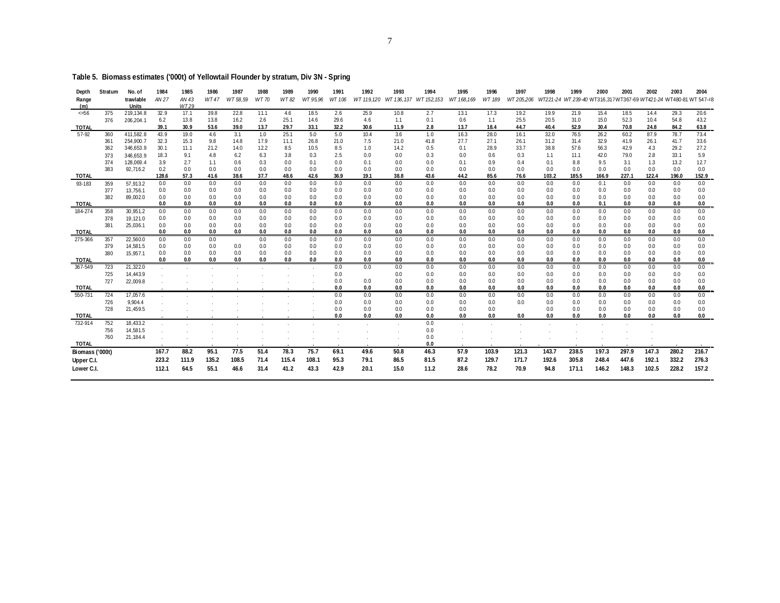| Depth<br>Range<br>(m) | Stratum    | No. of<br>trawlable<br><b>Units</b> | 1984<br>AN 27 | 1985<br>AN 43<br>WT29 | 1986<br><b>WT47</b> | 1987<br>WT 58.59 | 1988<br>WT 70 | 1989<br>WT 82 | 1990<br>WT 95,96 | 1991<br>WT 106 | 1992<br>WT 119.120 | 1993        | 1994<br>WT 136, 137 WT 152, 153 | 1995<br>WT 168,169 | 1996<br>WT 189 | 1997<br>WT 205,206 | 1998         | 1999<br>WT221-24 WT 239-40 WT316,317WT367-69 WT421-24 WT480-81 WT 547-48 | 2000         | 2001         | 2002         | 2003         | 2004         |
|-----------------------|------------|-------------------------------------|---------------|-----------------------|---------------------|------------------|---------------|---------------|------------------|----------------|--------------------|-------------|---------------------------------|--------------------|----------------|--------------------|--------------|--------------------------------------------------------------------------|--------------|--------------|--------------|--------------|--------------|
| 56                    | 375        | 219,134.8                           | 32.9          | 17.1                  | 39.8                | 22.8             | 11.1          | 4.6           | 18.5             | 2.6            | 25.9               | 10.8        | 2.7                             | 13.1               | 17.3           | 19.2               | 19.9         | 21.9                                                                     | 15.4         | 18.5         | 14.4         | 29.3         | 20.6         |
|                       | 376        | 206,204.1                           | 6.2           | 13.8                  | 13.8                | 16.2             | 2.6           | 25.1          | 14.6             | 29.6           | 4.6                | 1.1         | 0.1                             | 0.6                | 1.1            | 25.5               | 20.5         | 31.0                                                                     | 15.0         | 52.3         | 10.4         | 54.8         | 43.2         |
| TOTAL                 |            |                                     | 39.1          | 30.9                  | 53.6                | 39.0             | 13.7          | 29.7          | 33.1             | 32.2           | 30.6               | 11.9        | 2.8                             | 13.7               | 18.4           | 44.7               | 40.4         | 52.9                                                                     | 30.4         | 70.8         | 24.8         | 84.2         | 63.8         |
| 57-92                 | 360        | 411,582.8                           | 43.9          | 19.0                  | 4.6                 | 3.1              | 1.0           | 25.1          | 5.0              | 5.0            | 10.4               | 3.6         | 1.0                             | 16.3               | 28.0           | 16.1               | 32.0         | 76.5                                                                     | 26.2         | 60.2         | 87.9         | 78.7         | 73.4         |
|                       | 361        | 254,900.7                           | 32.3          | 15.3                  | 9.8                 | 14.8             | 17.9          | 11.1          | 26.8             | 21.0           | 7.5                | 21.0        | 41.8                            | 27.7               | 27.1           | 26.1               | 31.2         | 31.4                                                                     | 32.9         | 41.9         | 26.1         | 41.7         | 33.6         |
|                       | 362        | 346,653.9                           | 30.1          | 11.1                  | 21.2                | 14.0             | 12.2          | 8.5           | 10.5             | 8.5            | 1.0                | 14.2        | 0.5                             | 0.1                | 28.9           | 33.7               | 38.8         | 57.6                                                                     | 56.3         | 42.9         | 4.3          | 29.2         | 27.2         |
|                       | 373        | 346,653.9                           | 18.3          | 9.1                   | 4.8                 | 6.2              | 6.3           | 3.8           | 0.3              | 2.5            | 0.0                | 0.0         | 0.3                             | 0.0                | 0.6            | 0.3                | 1.1          | 11.1                                                                     | 42.0         | 79.0         | 2.8          | 33.1         | 5.9          |
|                       | 374        | 128,069.4                           | 3.9           | 2.7                   | 1.1                 | 0.6              | 0.3           | 0.0           | 0.1              | 0.0            | 0.1                | 0.0         | 0.0                             | 0.1                | 0.9            | 0.4                | 0.1          | 8.8                                                                      | 9.5          | 3.1          | 1.3          | 13.2         | 12.7         |
|                       | 383        | 92,716.2                            | 0.2           | 0.0                   | 0.0                 | 0.0              | 0.0           | 0.0           | 0.0              | 0.0            | 0.0                | 0.0         | 0.0                             | 0.0                | 0.0            | 0.0                | 0.0          | 0.0                                                                      | 0.0          | 0.0          | 0.0          | 0.0          | 0.0          |
| <b>TOTAL</b>          |            |                                     | 128.6<br>0.0  | 57.3<br>0.0           | 41.6<br>0.0         | 38.6<br>0.0      | 37.7<br>0.0   | 48.6<br>0.0   | 42.6<br>0.0      | 36.9<br>0.0    | 19.1<br>0.0        | 38.8<br>0.0 | 43.6<br>0.0                     | 44.2<br>0.0        | 85.6<br>0.0    | 76.6<br>0.0        | 103.2<br>0.0 | 185.5<br>0.0                                                             | 166.9<br>0.1 | 227.1<br>0.0 | 122.4<br>0.0 | 196.0<br>0.0 | 152.9<br>0.0 |
| 93-183                | 359        | 57,913.2                            | 0.0           | 0.0                   | 0.0                 | 0.0              | 0.0           | 0.0           | 0.0              | 0.0            | 0.0                | 0.0         | 0.0                             | 0.0                | 0.0            | 0.0                | 0.0          | 0.0                                                                      | 0.0          | 0.0          | 0.0          | 0.0          | 0.0          |
|                       | 377<br>382 | 13,756.1<br>89,002.0                | 0.0           | 0.0                   | 0.0                 | 0.0              | 0.0           | 0.0           | 0.0              | 0.0            | 0.0                | 0.0         | 0.0                             | 0.0                | 0.0            | 0.0                | 0.0          | 0.0                                                                      | 0.0          | 0.0          | 0.0          | 0.0          | 0.0          |
| <b>TOTAL</b>          |            |                                     | 0.0           | 0.0                   | 0.0                 | 0.0              | 0.0           | 0.0           | 0.0              | 0.0            | 0.0                | 0.0         | 0.0                             | 0.0                | 0.0            | 0.0                | 0.0          | 0.0                                                                      | 0.1          | 0.0          | 0.0          | 0.0          | 0.0          |
| 184-274               | 358        | 30,951.2                            | 0.0           | 0.0                   | 0.0                 | 0.0              | 0.0           | 0.0           | 0.0              | 0.0            | 0.0                | 0.0         | 0.0                             | 0.0                | 0.0            | 0.0                | 0.0          | 0.0                                                                      | 0.0          | 0.0          | 0.0          | 0.0          | 0.0          |
|                       | 378        | 19,121.0                            | 0.0           | 0.0                   | 0.0                 | 0.0              | 0.0           | 0.0           | 0.0              | 0.0            | 0.0                | 0.0         | 0.0                             | 0.0                | 0.0            | 0.0                | 0.0          | 0.0                                                                      | 0.0          | 0.0          | 0.0          | 0.0          | 0.0          |
|                       | 381        | 25,036.1                            | 0.0           | 0.0                   | 0.0                 | 0.0              | 0.0           | 0.0           | 0.0              | 0.0            | 0.0                | 0.0         | 0.0                             | 0.0                | 0.0            | 0.0                | 0.0          | 0.0                                                                      | 0.0          | 0.0          | 0.0          | 0.0          | 0.0          |
| <b>TOTAL</b>          |            |                                     | 0.0           | 0.0                   | 0.0                 | 0.0              | 0.0           | 0.0           | 0.0              | 0.0            | 0.0                | 0.0         | 0.0                             | 0.0                | 0.0            | 0.0                | 0.0          | 0.0                                                                      | 0.0          | 0.0          | 0.0          | 0.0          | 0.0          |
| 275-366               | 357        | 22,560.0                            | 0.0           | 0.0                   | 0.0                 |                  | 0.0           | 0.0           | 0.0              | 0.0            | 0.0                | 0.0         | 0.0                             | 0.0                | 0.0            | 0.0                | 0.0          | 0.0                                                                      | 0.0          | 0.0          | 0.0          | 0.0          | 0.0          |
|                       | 379        | 14,581.5                            | 0.0           | 0.0                   | 0.0                 | 0.0              | 0.0           | 0.0           | 0.0              | 0.0            | 0.0                | 0.0         | 0.0                             | 0.0                | 0.0            | 0.0                | 0.0          | 0.0                                                                      | 0.0          | 0.0          | 0.0          | 0.0          | 0.0          |
|                       | 380        | 15,957.1                            | 0.0           | 0.0                   | 0.0                 | 0.0              | 0.0           | 0.0           | 0.0              | 0.0            | 0.0                | 0.0         | 0.0                             | 0.0                | 0.0            | 0.0                | 0.0          | 0.0                                                                      | 0.0          | 0.0          | 0.0          | 0.0          | 0.0          |
| <b>TOTAL</b>          |            |                                     | 0.0           | 0.0                   | 0.0                 | 0.0              | 0.0           | 0.0           | 0.0              | 0.0            | 0.0                | 0.0         | 0.0                             | 0.0                | 0.0            | 0.0                | 0.0          | 0.0                                                                      | 0.0          | 0.0          | 0.0          | 0.0          | 0.0          |
| 367-549               | 723        | 21,322.0                            |               |                       |                     |                  |               |               |                  | 0.0            | 0.0                | 0.0         | 0.0                             | 0.0                | 0.0            | 0.0                | 0.0          | 0.0                                                                      | 0.0          | 0.0          | 0.0          | 0.0          | 0.0          |
|                       | 725        | 14,443.9                            |               |                       |                     |                  |               |               |                  | 0.0            |                    | 0.0         | 0.0                             | 0.0                | 0.0            | 0.0                | 0.0          | 0.0                                                                      | 0.0          | 0.0          | 0.0          | 0.0          | 0.0          |
|                       | 727        | 22,009.8                            |               |                       |                     |                  |               |               |                  | 0.0            | 0.0                | 0.0         | 0.0                             | 0.0                | 0.0            | 0.0                | 0.0          | 0.0                                                                      | 0.0          | 0.0          | 0.0          | 0.0          | 0.0          |
| TOTAL                 |            |                                     |               |                       |                     |                  |               |               |                  | 0.0            | 0.0                | 0.0         | 0.0                             | 0.0                | 0.0            | 0.0                | 0.0          | 0.0                                                                      | 0.0          | 0.0          | 0.0          | 0.0          | 0.0          |
| 550-731               | 724        | 17,057.6                            |               |                       |                     |                  |               |               |                  | 0.0            | 0.0                | 0.0         | 0.0                             | 0.0                | 0.0            | 0.0                | 0.0          | 0.0                                                                      | 0.0          | 0.0          | 0.0          | 0.0          | 0.0          |
|                       | 726        | 9,904.4                             |               |                       |                     |                  |               |               |                  | 0.0            | 0.0                | 0.0         | 0.0                             | 0.0                | 0.0            | 0.0                | 0.0          | 0.0                                                                      | 0.0          | 0.0          | 0.0          | 0.0          | 0.0          |
|                       | 728        | 21,459.5                            |               |                       |                     |                  |               |               |                  | 0.0            | 0.0                | 0.0         | 0.0                             | 0.0                | 0.0            |                    | 0.0          | 0.0                                                                      | 0.0          | 0.0          | 0.0          | 0.0          | 0.0          |
| <b>TOTAL</b>          |            |                                     |               |                       |                     |                  |               |               |                  | 0.0            | 0.0                | 0.0         | 0.0                             | 0.0                | 0.0            | 0.0                | 0.0          | 0.0                                                                      | 0.0          | 0.0          | 0.0          | 0.0          | 0.0          |
| 732-914               | 752        | 18,433.2                            |               |                       |                     |                  |               |               |                  |                |                    |             | 0.0                             |                    |                |                    |              |                                                                          |              |              |              |              |              |
|                       | 756<br>760 | 14,581.5<br>21,184.4                |               |                       |                     |                  |               |               |                  |                |                    |             | 0.0<br>0.0                      |                    |                |                    |              |                                                                          |              |              |              |              |              |
| TOTAL                 |            |                                     |               |                       |                     |                  |               |               |                  |                |                    |             | 0.0                             |                    |                |                    |              |                                                                          |              |              |              |              |              |
|                       |            |                                     | 167.7         | 88.2                  | 95.1                | 77.5             | 51.4          | 78.3          | 75.7             | 69.1           | 49.6               | 50.8        | 46.3                            | 57.9               | 103.9          | 121.3              | 143.7        | 238.5                                                                    | 197.3        | 297.9        | 147.3        | 280.2        | 216.7        |
| Biomass ('000t)       |            |                                     |               |                       |                     |                  |               |               |                  |                |                    |             |                                 |                    |                |                    |              |                                                                          |              |              |              |              |              |
| Upper C.I.            |            |                                     | 223.2         | 111.9                 | 135.2               | 108.5            | 71.4          | 115.4         | 108.1            | 95.3           | 79.1               | 86.5        | 81.5                            | 87.2               | 129.7          | 171.7              | 192.6        | 305.8                                                                    | 248.4        | 447.6        | 192.1        | 332.2        | 276.3        |
| Lower C.I.            |            |                                     | 112.1         | 64.5                  | 55.1                | 46.6             | 31.4          | 41.2          | 43.3             | 42.9           | 20.1               | 15.0        | 11.2                            | 28.6               | 78.2           | 70.9               | 94.8         | 171.1                                                                    | 146.2        | 148.3        | 102.5        | 228.2        | 157.2        |
|                       |            |                                     |               |                       |                     |                  |               |               |                  |                |                    |             |                                 |                    |                |                    |              |                                                                          |              |              |              |              |              |

### **Table 5. Biomass estimates ('000t) of Yellowtail Flounder by stratum, Div 3N - Spring**

7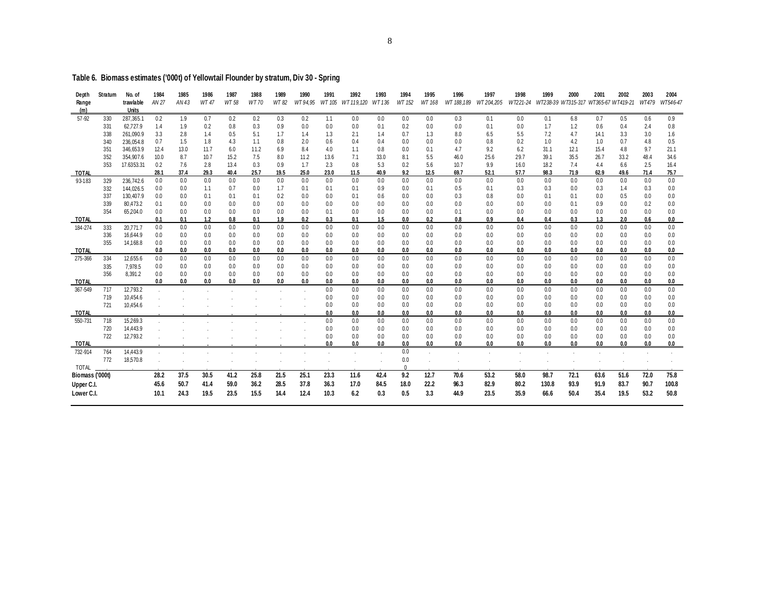## **Table 6. Biomass estimates ('000t) of Yellowtail Flounder by stratum, Div 30 - Spring**

| Depth<br>Range<br>(m) | Stratum    | No. of<br>trawlable<br>Units | 1984<br>AN 27 | 1985<br>AN 43 | 1986<br>WT 47 | 1987<br>WT 58 | 1988<br><b>WT70</b> | 1989<br>WT 82 | 1990<br>WT 94.95 | 1991<br>WT 105 | 1992<br>WT 119.120 | 1993<br>WT 136 | 1994<br>WT 152 | 1995<br>WT 168 | 1996<br>WT 188.189 | 1997<br>WT204.205 | 1998<br>WT221-24 | 1999       | 2000<br>WT238-39 WT315-317 WT365-67 WT419-21 | 2001       | 2002       | 2003<br>WT479 | 2004<br>WT546-47 |
|-----------------------|------------|------------------------------|---------------|---------------|---------------|---------------|---------------------|---------------|------------------|----------------|--------------------|----------------|----------------|----------------|--------------------|-------------------|------------------|------------|----------------------------------------------|------------|------------|---------------|------------------|
| 57-92                 | 330        | 287,365.1                    | 0.2           | 1.9           | 0.7           | 0.2           | 0.2                 | 0.3           | 0.2              | 1.1            | 0.0                | 0.0            | 0.0            | 0.0            | 0.3                | 0.1               | 0.0              | 0.1        | 6.8                                          | 0.7        | 0.5        | 0.6           | 0.9              |
|                       | 331        | 62,727.9                     | 1.4           | 1.9           | 0.2           | 0.8           | 0.3                 | 0.9           | 0.0              | 0.0            | 0.0                | 0.1            | 0.2            | 0.0            | 0.0                | 0.1               | 0.0              | 1.7        | 1.2                                          | 0.6        | 0.4        | 2.4           | 0.8              |
|                       | 338        | 261,090.9                    | 3.3           | 2.8           | 1.4           | 0.5           | 5.1                 | 1.7           | 1.4              | 1.3            | 2.1                | 1.4            | 0.7            | 1.3            | 8.0                | 6.5               | 5.5              | 7.2        | 4.7                                          | 14.1       | 3.3        | 3.0           | 1.6              |
|                       | 340        | 236,054.8                    | 0.7           | 1.5           | 1.8           | 4.3           | 1.1                 | 0.8           | 2.0              | 0.6            | 0.4                | 0.4            | 0.0            | 0.0            | 0.0                | 0.8               | 0.2              | 1.0        | 4.2                                          | 1.0        | 0.7        | 4.8           | 0.5              |
|                       | 351        | 346.653.9                    | 12.4          | 13.0          | 11.7          | 6.0           | 11.2                | 6.9           | 8.4              | 4.0            | 1.1                | 0.8            | 0.0            | 0.1            | 4.7                | 9.2               | 6.2              | 31.1       | 12.1                                         | 15.4       | 4.8        | 9.7           | 21.1             |
|                       | 352        | 354,907.6                    | 10.0          | 8.7           | 10.7          | 15.2          | 7.5                 | 8.0           | 11.2             | 13.6           | 7.1                | 33.0           | 8.1            | 5.5            | 46.0               | 25.6              | 29.7             | 39.1       | 35.5                                         | 26.7       | 33.2       | 48.4          | 34.6             |
|                       | 353        | 17.6353.31                   | 0.2           | 7.6           | 2.8           | 13.4          | 0.3                 | 0.9           | 1.7              | 2.3            | 0.8                | 5.3            | 0.2            | 5.6            | 10.7               | 9.9               | 16.0             | 18.2       | 7.4                                          | 4.4        | 6.6        | 2.5           | 16.4             |
| <b>TOTAL</b>          |            |                              | 28.1          | 37.4          | 29.3          | 40.4          | 25.7                | 19.5          | 25.0             | 23.0           | 11.5               | 40.9           | 9.2            | 12.5           | 69.7               | 52.1              | 57.7             | 98.3       | 71.9                                         | 62.9       | 49.6       | 71.4          | 75.7             |
| 93-183                | 329        | 236,742.6                    | 0.0           | 0.0           | 0.0           | 0.0           | 0.0                 | 0.0           | 0.0              | 0.0            | 0.0                | 0.0            | 0.0            | 0.0            | 0.0                | 0.0               | 0.0              | 0.0        | 0.0                                          | 0.0        | 0.0        | 0.0           | 0.0              |
|                       | 332        | 144,026.5                    | 0.0           | 0.0           | 1.1           | 0.7           | 0.0                 | 1.7           | 0.1              | 0.1            | 0.1                | 0.9            | 0.0            | 0.1            | 0.5                | 0.1               | 0.3              | 0.3        | 0.0                                          | 0.3        | 1.4        | 0.3           | 0.0              |
|                       | 337        | 130,407.9                    | 0.0           | 0.0           | 0.1           | 0.1           | 0.1                 | 0.2           | 0.0              | 0.0            | 0.1                | 0.6            | 0.0            | 0.0            | 0.3                | 0.8               | 0.0              | 0.1        | 0.1                                          | 0.0        | 0.5        | 0.0           | 0.0              |
|                       | 339        | 80,473.2                     | 0.1           | 0.0           | 0.0           | 0.0           | 0.0                 | 0.0           | 0.0              | 0.0            | 0.0                | 0.0            | 0.0            | 0.0            | 0.0                | 0.0               | 0.0              | 0.0        | 0.1                                          | 0.9        | 0.0        | 0.2           | 0.0              |
| <b>TOTAL</b>          | 354        | 65,204.0                     | 0.0<br>0.1    | 0.0<br>0.1    | 0.0<br>1.2    | 0.0           | 0.0                 | 0.0           | 0.0              | 0.1<br>0.3     | 0.0<br>0.1         | 0.0<br>1.5     | 0.0<br>0.0     | 0.0<br>0.2     | 0.1<br>0.8         | 0.0<br>0.9        | 0.0<br>0.4       | 0.0        | 0.0<br>0.3                                   | 0.0        | 0.0<br>2.0 | 0.0           | 0.0              |
| 184-274               |            |                              | 0.0           | 0.0           | 0.0           | 0.8<br>0.0    | 0.1<br>0.0          | 1.9<br>0.0    | 0.2<br>0.0       | 0.0            | 0.0                | 0.0            | 0.0            | 0.0            | 0.0                | 0.0               | 0.0              | 0.4<br>0.0 | 0.0                                          | 1.3<br>0.0 | 0.0        | 0.6<br>0.0    | 0.0<br>0.0       |
|                       | 333<br>336 | 20,771.7<br>16,644.9         | 0.0           | 0.0           | 0.0           | 0.0           | 0.0                 | 0.0           | 0.0              | 0.0            | 0.0                | 0.0            | 0.0            | 0.0            | 0.0                | 0.0               | 0.0              | 0.0        | 0.0                                          | 0.0        | 0.0        | 0.0           | 0.0              |
|                       | 355        | 14,168.8                     | 0.0           | 0.0           | 0.0           | 0.0           | 0.0                 | 0.0           | 0.0              | 0.0            | 0.0                | 0.0            | 0.0            | 0.0            | 0.0                | 0.0               | 0.0              | 0.0        | 0.0                                          | 0.0        | 0.0        | 0.0           | 0.0              |
| <b>TOTAL</b>          |            |                              | 0.0           | 0.0           | 0.0           | 0.0           | 0.0                 | 0.0           | 0.0              | 0.0            | 0.0                | 0.0            | 0.0            | 0.0            | 0.0                | 0.0               | 0.0              | 0.0        | 0.0                                          | 0.0        | 0.0        | 0.0           | 0.0              |
| 275-366               | 334        | 12,655.6                     | 0.0           | 0.0           | 0.0           | 0.0           | 0.0                 | 0.0           | 0.0              | 0.0            | 0.0                | 0.0            | 0.0            | 0.0            | 0.0                | 0.0               | 0.0              | 0.0        | 0.0                                          | 0.0        | 0.0        | 0.0           | 0.0              |
|                       | 335        | 7,978.5                      | 0.0           | 0.0           | 0.0           | 0.0           | 0.0                 | 0.0           | 0.0              | 0.0            | 0.0                | 0.0            | 0.0            | 0.0            | 0.0                | 0.0               | 0.0              | 0.0        | 0.0                                          | 0.0        | 0.0        | 0.0           | 0.0              |
|                       | 356        | 8,391.2                      | 0.0           | 0.0           | 0.0           | 0.0           | 0.0                 | 0.0           | 0.0              | 0.0            | 0.0                | 0.0            | 0.0            | 0.0            | 0.0                | 0.0               | 0.0              | 0.0        | 0.0                                          | 0.0        | 0.0        | 0.0           | 0.0              |
| <b>TOTAL</b>          |            |                              | 0.0           | 0.0           | 0.0           | 0.0           | 0.0                 | 0.0           | 0.0              | 0.0            | 0.0                | 0.0            | 0.0            | 0.0            | 0.0                | 0.0               | 0.0              | 0.0        | 0.0                                          | 0.0        | 0.0        | 0.0           | 0.0              |
| 367-549               | 717        | 12,793.2                     |               |               |               |               |                     |               |                  | 0.0            | 0.0                | 0.0            | 0.0            | 0.0            | 0.0                | 0.0               | 0.0              | 0.0        | 0.0                                          | 0.0        | 0.0        | 0.0           | 0.0              |
|                       | 719        | 10,454.6                     |               |               |               |               |                     |               |                  | 0.0            | 0.0                | 0.0            | 0.0            | 0.0            | 0.0                | 0.0               | 0.0              | 0.0        | 0.0                                          | 0.0        | 0.0        | 0.0           | 0.0              |
|                       | 721        | 10,454.6                     |               |               |               |               |                     |               |                  | 0.0            | 0.0                | 0.0            | 0.0            | 0.0            | 0.0                | 0.0               | 0.0              | 0.0        | 0.0                                          | 0.0        | 0.0        | 0.0           | 0.0              |
| <b>TOTAL</b>          |            |                              |               |               |               |               |                     |               |                  | 0.0            | 0.0                | 0.0            | 0.0            | 0.0            | 0.0                | 0.0               | 0.0              | 0.0        | 0.0                                          | 0.0        | 0.0        | 0.0           | 0.0              |
| 550-731               | 718        | 15,269.3                     |               |               |               |               |                     |               |                  | 0.0            | 0.0                | 0.0            | 0.0            | 0.0            | 0.0                | 0.0               | 0.0              | 0.0        | 0.0                                          | 0.0        | 0.0        | 0.0           | 0.0              |
|                       | 720        | 14,443.9                     |               |               |               |               |                     |               |                  | 0.0            | 0.0                | 0.0            | 0.0            | 0.0            | 0.0                | 0.0               | 0.0              | 0.0        | 0.0                                          | 0.0        | 0.0        | 0.0           | 0.0              |
|                       | 722        | 12,793.2                     |               |               |               |               |                     |               |                  | 0.0            | 0.0                | 0.0            | 0.0            | 0.0            | 0.0                | 0.0               | 0.0              | 0.0        | 0.0                                          | 0.0        | 0.0        | 0.0           | 0.0              |
| <b>TOTAL</b>          |            |                              |               |               |               |               |                     |               |                  | 0.0            | 0.0                | 0.0            | 0.0            | 0.0            | 0.0                | 0.0               | 0.0              | 0.0        | 0.0                                          | 0.0        | 0.0        | 0.0           | 0.0              |
| 732-914               | 764        | 14,443.9                     |               |               |               |               |                     |               |                  |                |                    |                | 0.0            |                |                    |                   |                  |            |                                              |            |            |               |                  |
|                       | 772        | 18,570.8                     | $\sim$        |               |               |               |                     |               |                  |                |                    |                | 0.0            |                |                    | $\sim$            |                  |            |                                              |            |            |               |                  |
| <b>TOTAL</b>          |            |                              |               |               |               |               |                     |               |                  |                |                    |                | $\Omega$       |                |                    |                   |                  |            |                                              |            |            |               |                  |
| Biomass ('000t)       |            |                              | 28.2          | 37.5          | 30.5          | 41.2          | 25.8                | 21.5          | 25.1             | 23.3           | 11.6               | 42.4           | 9.2            | 12.7           | 70.6               | 53.2              | 58.0             | 98.7       | 72.1                                         | 63.6       | 51.6       | 72.0          | 75.8             |
| Upper C.I.            |            |                              | 45.6          | 50.7          | 41.4          | 59.0          | 36.2                | 28.5          | 37.8             | 36.3           | 17.0               | 84.5           | 18.0           | 22.2           | 96.3               | 82.9              | 80.2             | 130.8      | 93.9                                         | 91.9       | 83.7       | 90.7          | 100.8            |
| Lower C.I.            |            |                              | 10.1          | 24.3          | 19.5          | 23.5          | 15.5                | 14.4          | 12.4             | 10.3           | 6.2                | 0.3            | 0.5            | 3.3            | 44.9               | 23.5              | 35.9             | 66.6       | 50.4                                         | 35.4       | 19.5       | 53.2          | 50.8             |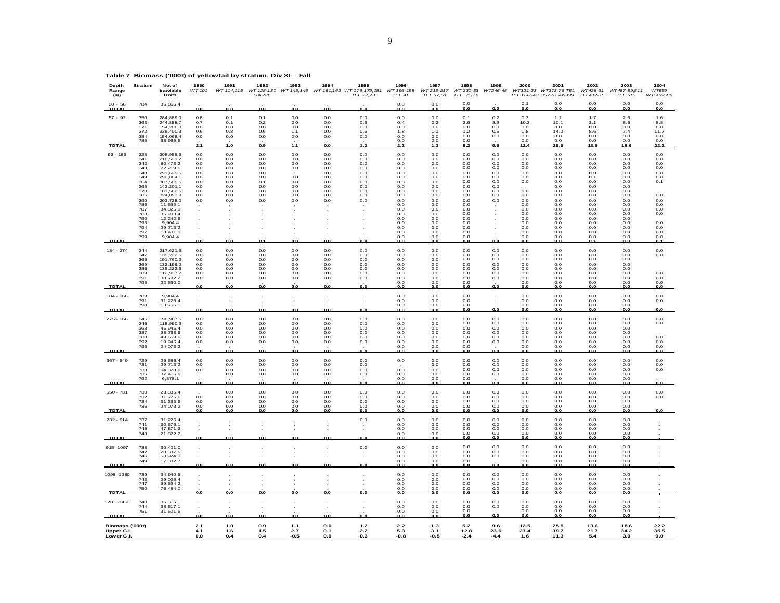| $30 - 56$<br><b>TOTAL</b>   | 784                                                                                                          | 36,866.4                                                                                                                                                                                             | 0.0                                                                       | 0.0                                                                       | 0.0                                                                       | 0.0                                                                | 0.0                                                                       | 0.0                                                                                 | 0.0<br>0.0                                                                                                   | 0.0<br>0.0                                                                                                                       | 0.0<br>0.0                                                                                                                                            | 0.0                                                                       | 0.1<br>0.0                                                                                            | $_{0.0}$<br>0.0                                                                                                       | 0.0<br>0.0                                                                                                                            | $_{0.0}$<br>0.0                                                                                                                       | 0.0<br>0.0                                                                              |
|-----------------------------|--------------------------------------------------------------------------------------------------------------|------------------------------------------------------------------------------------------------------------------------------------------------------------------------------------------------------|---------------------------------------------------------------------------|---------------------------------------------------------------------------|---------------------------------------------------------------------------|--------------------------------------------------------------------|---------------------------------------------------------------------------|-------------------------------------------------------------------------------------|--------------------------------------------------------------------------------------------------------------|----------------------------------------------------------------------------------------------------------------------------------|-------------------------------------------------------------------------------------------------------------------------------------------------------|---------------------------------------------------------------------------|-------------------------------------------------------------------------------------------------------|-----------------------------------------------------------------------------------------------------------------------|---------------------------------------------------------------------------------------------------------------------------------------|---------------------------------------------------------------------------------------------------------------------------------------|-----------------------------------------------------------------------------------------|
| $57 - 92$                   | 350<br>363<br>371<br>372<br>384<br>785                                                                       | 284,889.0<br>244,858.7<br>154,206.0<br>338 400 3<br>154,068.4<br>63,965.9                                                                                                                            | 0.8<br>0.7<br>0.0<br>0.6<br>0.0                                           | 0.1<br>0.1<br>0.0<br>0.8<br>0.0                                           | 0.1<br>0.2<br>0.0<br>06<br>0.0                                            | 0.0<br>0.0<br>0.0<br>1.1<br>0.0                                    | 0.0<br>0.0<br>0.0<br>0 <sub>0</sub><br>0.0                                | 0.0<br>0.6<br>0.0<br>0.6<br>0.0                                                     | 0.0<br>0.4<br>0.0<br>1.8<br>0.0<br>0.0                                                                       | $_{0.0}$<br>0.2<br>0.0<br>1.1<br>$_{0.0}$<br>0.0                                                                                 | 0.1<br>3.9<br>0.0<br>1.2<br>0.0<br>0.0                                                                                                                | 0.2<br>8.9<br>0.0<br>0.5<br>0.0                                           | 0.3<br>10.2<br>0.0<br>1.8<br>0.0<br>0.0                                                               | 1.2<br>10.1<br>0.0<br>14.2<br>0.0<br>0.0                                                                              | 1.7<br>3.1<br>0.0<br>86<br>0.0<br>0.0                                                                                                 | 2.6<br>8.6<br>0.0<br>74<br>0.0<br>0.0                                                                                                 | 1.6<br>8.8<br>0.0<br>11.7<br>0.0<br>0.0                                                 |
| TOTAL                       |                                                                                                              |                                                                                                                                                                                                      |                                                                           | 1.0                                                                       | 0.9                                                                       | 1.1                                                                | 0.0                                                                       |                                                                                     |                                                                                                              |                                                                                                                                  |                                                                                                                                                       | 9.6                                                                       | 12.4                                                                                                  | 25.5                                                                                                                  | 13.5                                                                                                                                  | 18.6                                                                                                                                  | 22.2                                                                                    |
| $93 - 183$                  | 328<br>341<br>342<br>343<br>348<br>349<br>364<br>365<br>370<br>385<br>390<br>786<br>787<br>788<br>790<br>793 | 208,955.3<br>216,521.2<br>80,473.2<br>72,219.6<br>291.629.5<br>290.804.1<br>387,509.6<br>143,201.1<br>181,580.6<br>324,093.9<br>203,728.0<br>11,555.1<br>84,325.0<br>35,903.4<br>12.242.9<br>9.904.4 | 0.0<br>0.0<br>0.0<br>0.0<br>0.0<br>0.0<br>0.0<br>0.0<br>0.0<br>0.0<br>0.0 | 0.0<br>0.0<br>0.0<br>0.0<br>0.0<br>0.0<br>0.0<br>0.0<br>0.0<br>0.0<br>0.0 | 0.0<br>0.0<br>0.0<br>0.0<br>0.0<br>0.0<br>0.1<br>0.0<br>0.0<br>0.0<br>0.0 | 0.0<br>0.0<br>0.0<br>0.0<br>0.0<br>0.0<br>0.0<br>0.0<br>0.0<br>0.0 | 0.0<br>0.0<br>0.0<br>0.0<br>0.0<br>0.0<br>0.0<br>0.0<br>0.0<br>0.0<br>0.0 | 0.0<br>0.0<br>0.0<br>0.0<br>0.0<br>0.0<br>0.0<br>0.0<br>$_{0.0}$<br>0.0<br>$_{0.0}$ | 0.0<br>0.0<br>0.0<br>0.0<br>0.0<br>0.0<br>0.0<br>0.0<br>0.0<br>0.0<br>0.0<br>0.0<br>0.0<br>0.0<br>0.0<br>0.0 | 0.0<br>$_{0.0}$<br>0.0<br>0.0<br>0.0<br>0.0<br>$_{0.0}$<br>0.0<br>$_{0.0}$<br>0.0<br>$_{0.0}$<br>0.0<br>0.0<br>0.0<br>0.0<br>0.0 | $_{0.0}$<br>$_{0.0}$<br>0.0<br>$_{0.0}$<br>0.0<br>0 <sub>0</sub><br>0.0<br>0.0<br>$_{0.0}$<br>0.0<br>$_{0.0}$<br>0.0<br>0.0<br>$_{0.0}$<br>0.0<br>0.0 | 0.0<br>0.0<br>0.0<br>0.0<br>0.0<br>0.0<br>0.0<br>0.0<br>0.0<br>0.0<br>0.0 | 0.0<br>0.0<br>0.0<br>0.0<br>0.0<br>0.0<br>0.0<br>0.0<br>0.0<br>0.0<br>0.0<br>0.0<br>0.0<br>0.0<br>0.0 | $_{\rm 0.0}$<br>0.0<br>0.0<br>0.0<br>0.0<br>0.0<br>0.0<br>0.0<br>0.0<br>0.0<br>0.0<br>0.0<br>0.0<br>0.0<br>0.0<br>0.0 | 0.0<br>0.0<br>0.0<br>$_{0.0}$<br>0.0<br>0.1<br>0.0<br>0.0<br>$_{0.0}$<br>0.0<br>$_{0.0}$<br>0.0<br>$_{0.0}$<br>$_{0.0}$<br>0.0<br>0.0 | 0.0<br>$_{0.0}$<br>0.0<br>$_{0.0}$<br>0.0<br>0.0<br>0.0<br>0.0<br>$_{0.0}$<br>0.0<br>$_{0.0}$<br>0.0<br>0.0<br>$_{0.0}$<br>0.0<br>0.0 | 0.0<br>0.0<br>0.0<br>0.0<br>0.0<br>0.0<br>0.1<br>0.0<br>0.0<br>0.0<br>0.0<br>0.0<br>0.0 |
|                             | 794<br>797                                                                                                   | 29.713.2<br>13,481.0                                                                                                                                                                                 |                                                                           |                                                                           |                                                                           |                                                                    |                                                                           |                                                                                     | 0.0<br>0.0                                                                                                   | 0.0<br>$_{0.0}$                                                                                                                  | 0.0<br>$_{0.0}$                                                                                                                                       |                                                                           | 0.0<br>0.0                                                                                            | 0.0<br>0.0                                                                                                            | 0.0<br>$_{0.0}$                                                                                                                       | 0.0<br>$_{0.0}$                                                                                                                       | 0.0<br>0.0                                                                              |
| <b>TOTAL</b>                | 799                                                                                                          | 9,904.4                                                                                                                                                                                              | 0.0                                                                       | 0.0                                                                       | 0.1                                                                       | 0.0                                                                | 0.0                                                                       | 0.0                                                                                 | 0.0<br>0.0                                                                                                   | $_{0.0}$<br>0.0                                                                                                                  | $_{0.0}$<br>0.0                                                                                                                                       | 0.0                                                                       | $_{0.0}$<br>0.0                                                                                       | 0.0<br>0.0                                                                                                            | $_{0.0}$<br>0.1                                                                                                                       | $_{0.0}$<br>0.0                                                                                                                       | 0.0<br>0.1                                                                              |
| 184 - 274<br>TOTAL          | 344<br>347<br>366<br>369<br>386<br>389<br>391<br>795                                                         | 217,621.6<br>135,222.6<br>191.760.2<br>132.196.2<br>135,222.6<br>112,937.7<br>38,792.2<br>22,560.0                                                                                                   | 0.0<br>0.0<br>0.0<br>0.0<br>0.0<br>0.0<br>0.0<br>0.0                      | 0.0<br>0.0<br>0.0<br>0.0<br>0.0<br>0.0<br>0.0<br>0.0                      | 0.0<br>0.0<br>0.0<br>0.0<br>0.0<br>0.0<br>0.0<br>0.0                      | 0.0<br>0.0<br>0 <sub>0</sub><br>0.0<br>0.0<br>0.0<br>0.0<br>0.0    | 0.0<br>0.0<br>0 <sub>0</sub><br>0.0<br>0.0<br>0.0<br>0.0<br>0.0           | 0.0<br>0.0<br>0.0<br>0.0<br>0.0<br>0.0<br>0.0<br>0.0                                | 0.0<br>0.0<br>0.0<br>0.0<br>0.0<br>0.0<br>0.0<br>0.0<br>0.0                                                  | 0.0<br>$_{0.0}$<br>0.0<br>0.0<br>0.0<br>$_{0.0}$<br>$_{0.0}$<br>0.0<br>0.0                                                       | 0.0<br>$_{0.0}$<br>0.0<br>0.0<br>0.0<br>$_{0.0}$<br>$_{0.0}$<br>0.0<br>0.0                                                                            | 0.0<br>0.0<br>0.0<br>0.0<br>0.0<br>0.0<br>0.0<br>0.0                      | 0.0<br>0.0<br>0.0<br>0.0<br>0.0<br>0.0<br>0.0<br>0.0<br>0.0                                           | 0.0<br>0.0<br>0.0<br>0.0<br>0.0<br>0.0<br>0.0<br>0.0<br>0.0                                                           | 0.0<br>0.0<br>0.0<br>0.0<br>0.0<br>$_{0.0}$<br>$_{0.0}$<br>0.0<br>0.0                                                                 | 0.0<br>$_{0.0}$<br>0.0<br>0.0<br>0.0<br>0.0<br>$_{0.0}$<br>0.0<br>0.0                                                                 | 0.0<br>0.0<br>0.0<br>0.0<br>0.0<br>0.0                                                  |
| 184 - 366                   | 789                                                                                                          | 9,904.4                                                                                                                                                                                              |                                                                           |                                                                           |                                                                           |                                                                    |                                                                           |                                                                                     | 0.0                                                                                                          | $_{0.0}$                                                                                                                         | $_{\rm 0.0}$                                                                                                                                          | $\cdot$                                                                   | 0.0                                                                                                   | $_{0.0}$                                                                                                              | $_{0.0}$                                                                                                                              | $_{0.0}$                                                                                                                              | 0.0                                                                                     |
|                             | 791<br>798                                                                                                   | 31,226.4<br>13,756.1                                                                                                                                                                                 |                                                                           |                                                                           |                                                                           |                                                                    |                                                                           |                                                                                     | 0.0<br>0.0                                                                                                   | $_{0.0}$<br>0.0                                                                                                                  | $_{0.0}$<br>0.0                                                                                                                                       |                                                                           | 0.0<br>0.0                                                                                            | 0.0<br>0.0                                                                                                            | 0.0<br>0.0                                                                                                                            | 0.0<br>0.0                                                                                                                            | 0.0                                                                                     |
| <b>TOTAL</b>                |                                                                                                              |                                                                                                                                                                                                      | 0.0                                                                       | 0.0                                                                       | 0.0                                                                       | 0.0                                                                | 0.0                                                                       | 0.0                                                                                 | 0.0                                                                                                          | 0.0                                                                                                                              | 0.0                                                                                                                                                   | 0.0                                                                       | 0.0                                                                                                   | 0.0                                                                                                                   | 0.0                                                                                                                                   | 0.0                                                                                                                                   | 0.0                                                                                     |
| 275 - 366<br><b>TOTAL</b>   | 345<br>346<br>368<br>387<br>388<br>392<br>796                                                                | 196,987.5<br>118,990.3<br>45,945.4<br>98.768.9<br>49.659.6<br>19,946.4<br>24,073.2                                                                                                                   | 0.0<br>0.0<br>0.0<br>0.0<br>0.0<br>0.0<br>0.0                             | 0.0<br>0.0<br>0.0<br>0.0<br>0.0<br>0.0<br>0.0                             | 0.0<br>0.0<br>0.0<br>0.0<br>0.0<br>0.0<br>0.0                             | 0.0<br>0.0<br>0.0<br>0.0<br>0.0<br>0.0<br>0.0                      | 0.0<br>0.0<br>0.0<br>0.0<br>0.0<br>$_{\rm 0.0}$<br>0.0                    | 0.0<br>0.0<br>0.0<br>0.0<br>0.0<br>$_{0.0}$<br>0.0                                  | 0.0<br>0.0<br>0.0<br>0.0<br>0.0<br>0.0<br>0.0<br>0.0                                                         | $_{0.0}$<br>0.0<br>0.0<br>0.0<br>0.0<br>0.0<br>0.0<br>0.0                                                                        | $_{0.0}$<br>0.0<br>0.0<br>0.0<br>0 <sub>0</sub><br>$_{0.0}$<br>0.0<br>0.0                                                                             | 0.0<br>0.0<br>0.0<br>0.0<br>0.0<br>0.0<br>0.0                             | 0.0<br>0.0<br>0.0<br>0.0<br>0.0<br>0.0<br>0.0<br>0.0                                                  | 0.0<br>0.0<br>0.0<br>0.0<br>0.0<br>0.0<br>0.0<br>0.0                                                                  | 0.0<br>0.0<br>0.0<br>0.0<br>0.0<br>$_{0.0}$<br>0.0<br>0.0                                                                             | $_{0.0}$<br>0.0<br>0.0<br>0.0<br>0.0<br>$_{0.0}$<br>0.0<br>0.0                                                                        | $_{\mathbf{0.0}}$<br>0.0<br>0.0<br>0.0<br>0.0<br>0.0                                    |
| 367 - 549<br>TOTAL          | 729<br>731<br>733<br>735<br>792                                                                              | 25,586.4<br>29,713.2<br>64,378.6<br>37,416.6<br>6.878.1                                                                                                                                              | 0.0<br>0.0<br>0.0<br>0.0                                                  | 0.0<br>0.0<br>0.0<br>0.0<br>0.0                                           | 0.0<br>0.0<br>0.0<br>0.0<br>0.0                                           | 0.0<br>0.0<br>0.0<br>0.0<br>0.0                                    | 0.0<br>0.0<br>0.0<br>0.0<br>0.0                                           | 0.0<br>0.0<br>0.0<br>0.0<br>0.0                                                     | 0.0<br>0.0<br>0.0<br>0.0<br>0.0                                                                              | $_{0.0}$<br>$_{0.0}$<br>0.0<br>0.0<br>0.0<br>0.0                                                                                 | $_{0.0}$<br>$_{0.0}$<br>0.0<br>0.0<br>0.0<br>0.0                                                                                                      | 0.0<br>0.0<br>0.0<br>0.0<br>0.0                                           | 0.0<br>0.0<br>0.0<br>0.0<br>0.0<br>0.0                                                                | 0.0<br>0.0<br>0.0<br>0.0<br>0.0<br>0.0                                                                                | 0.0<br>0.0<br>$_{0.0}$<br>0.0<br>0.0<br>0.0                                                                                           | 0.0<br>0.0<br>$_{0.0}$<br>0.0<br>0.0<br>0.0                                                                                           | 0.0<br>0.0<br>0.0<br>0.0                                                                |
| $550 - 731$                 | 730<br>732<br>734<br>736                                                                                     | 23,385.4<br>31,776.6<br>31,363.9<br>24,073.2                                                                                                                                                         | 0.0<br>0.0<br>0.0                                                         | 0.0<br>0.0<br>0.0<br>0.0                                                  | 0.0<br>0.0<br>0.0<br>0.0                                                  | 0.0<br>0.0<br>0.0<br>0.0                                           | 0.0<br>0.0<br>0.0<br>0.0                                                  | 0.0<br>0.0<br>0.0<br>0.0                                                            | 0.0<br>0.0<br>0.0<br>0.0                                                                                     | 0.0<br>0.0<br>$_{0.0}$<br>$_{0.0}$                                                                                               | 0.0<br>0.0<br>0.0<br>$_{0.0}$                                                                                                                         | 0.0<br>0.0<br>0.0<br>0.0                                                  | 0.0<br>0.0<br>0.0<br>0.0                                                                              | 0.0<br>0.0<br>0.0<br>0.0                                                                                              | 0.0<br>0.0<br>0.0<br>$_{0.0}$                                                                                                         | 0.0<br>0.0<br>0.0<br>$_{0.0}$                                                                                                         | 0.0<br>0.0                                                                              |
| <b>TOTAL</b>                |                                                                                                              |                                                                                                                                                                                                      | 0.0                                                                       |                                                                           | n n                                                                       | 0.C                                                                | 0.O                                                                       | 0.0                                                                                 | 0.0                                                                                                          | 0.0                                                                                                                              | n n                                                                                                                                                   | 0.0                                                                       | 0.0                                                                                                   | 0.0                                                                                                                   | 0.0                                                                                                                                   | 0.0                                                                                                                                   | 0.0                                                                                     |
| 732 - 914<br><b>TOTAL</b>   | 737<br>741<br>745<br>748                                                                                     | 31.226.4<br>30,676.1<br>47,871.3<br>21,872.2                                                                                                                                                         | 0.0                                                                       | 0.0                                                                       | 0.0                                                                       | 0.0                                                                | 0.0                                                                       | 0.0<br>0.0                                                                          | 0.0<br>0.0<br>0.0<br>0.0<br>0.0                                                                              | 0.0<br>0.0<br>0.0<br>0.0<br>0.0                                                                                                  | 0 <sub>0</sub><br>0.0<br>0.0<br>0.0<br>0.0                                                                                                            | 0.0<br>0.0<br>0.0<br>0.0<br>0.0                                           | 0.0<br>0.0<br>0.0<br>0.0<br>0.0                                                                       | 0.0<br>0.0<br>0.0<br>0.0<br>0.0                                                                                       | 0.0<br>0.0<br>0.0<br>0.0<br>0.0                                                                                                       | 0.0<br>0.0<br>0.0<br>0.0<br>0.0                                                                                                       |                                                                                         |
| 915 - 1097                  | 738<br>742<br>746<br>749                                                                                     | 30,401.0<br>28,337.6<br>53,924.0<br>17,332.7                                                                                                                                                         |                                                                           |                                                                           |                                                                           |                                                                    |                                                                           | 0.0                                                                                 | 0.0<br>0.0<br>0.0<br>0.0                                                                                     | $_{0.0}$<br>0.0<br>$_{0.0}$<br>$_{0.0}$                                                                                          | 0.0<br>0.0<br>0.0<br>$_{0.0}$                                                                                                                         | 0.0<br>0.0<br>0.0                                                         | 0.0<br>0.0<br>0.0<br>0.0                                                                              | 0.0<br>0.0<br>0.0<br>0.0                                                                                              | 0.0<br>0.0<br>$_{0.0}$<br>$_{0.0}$                                                                                                    | 0.0<br>0.0<br>$_{0.0}$<br>$_{0.0}$                                                                                                    |                                                                                         |
| <b>TOTAL</b>                |                                                                                                              |                                                                                                                                                                                                      | 0.0                                                                       | 0.0                                                                       | 0.0                                                                       | 0.0                                                                | 0.0                                                                       | 0.0                                                                                 | 0.0                                                                                                          | 0.0                                                                                                                              | 0.0                                                                                                                                                   | 0.0                                                                       | 0.0                                                                                                   | 0.0                                                                                                                   | 0.0                                                                                                                                   | 0.0                                                                                                                                   |                                                                                         |
| 1098 - 1280<br><b>TOTAL</b> | 739<br>743<br>747<br>750                                                                                     | 34,940.5<br>29,025.4<br>99.594.2<br>76,484.0                                                                                                                                                         | 0.0                                                                       | 0.0                                                                       | 0.0                                                                       | 0.0                                                                | 0.0                                                                       | 0.0                                                                                 | 0.0<br>0.0<br>0.0<br>0.0<br>0.0                                                                              | 0.0<br>0.0<br>0.0<br>0.0<br>0.0                                                                                                  | 0.0<br>0.0<br>0 <sub>0</sub><br>0 <sub>0</sub><br>0.0                                                                                                 | 0.0<br>0.0<br>0.0<br>0.0<br>0.0                                           | 0.0<br>0.0<br>0.0<br>0 <sub>0</sub><br>0.0                                                            | 0.0<br>0.0<br>0.0<br>0.0<br>0.0                                                                                       | 0.0<br>0.0<br>0.0<br>0.0<br>0.0                                                                                                       | 0.0<br>0.0<br>0.0<br>0.0<br>0.0                                                                                                       |                                                                                         |
| 1281 - 1463<br>TOTAL        | 740<br>744<br>751                                                                                            | 36,316.1<br>38,517.1<br>31,501.5                                                                                                                                                                     | 0.0                                                                       | 0.0                                                                       | 0.0                                                                       | 0.0                                                                | 0.0                                                                       | 0.0                                                                                 | $_{0.0}$<br>0.0<br>0.0<br>0.0                                                                                | $_{0.0}$<br>0.0<br>0.0<br>0.0                                                                                                    | $_{\rm 0.0}$<br>0.0<br>0.0<br>0.0                                                                                                                     | $0.0\,$<br>0.0<br>0.0                                                     | 0.0<br>0.0<br>0.0<br>0.0                                                                              | $_{0.0}$<br>0.0<br>0.0<br>0.0                                                                                         | $_{0.0}$<br>0.0<br>0.0<br>0.0                                                                                                         | $_{0.0}$<br>0.0<br>0.0<br>0.0                                                                                                         |                                                                                         |
| Biomass ('000t)             |                                                                                                              |                                                                                                                                                                                                      | 2.1                                                                       | 1.0                                                                       | 0.9                                                                       | 1.1                                                                | 0.0                                                                       | $1.2$                                                                               | 2.2                                                                                                          | 1.3                                                                                                                              | 5.2                                                                                                                                                   | 9.6                                                                       | 12.5                                                                                                  | 25.5                                                                                                                  | 13.6                                                                                                                                  | 18.6                                                                                                                                  | 22.2                                                                                    |

Upper C.I. 4.1 1.6 1.5 2.7 0.1 2.2 5.3 3.1 12.8 23.6 23.4 39.7 21.7 34.2 35.5 Lower C.I. 0.0 0.4 0.4 -0.5 0.0 0.3 -0.8 -0.5 -2.4 -4.4 1.6 11.3 5.4 3.0 9.0

**Table 7 Biomass ('000t) of yellowtail by stratum, Div 3L - Fall**

9

Depth Stratum No.of 1990 1991 1992 1993 1994 1995 1996 1997<br>Range trawlable WT*101 WT114,115 WT128-130 WT145,146 WT161,162 WT161,181 WT196-198 WT34-23 WT348-48 WT343-2 WT373-76 TEL WT428-31 WT428-31 WT428-31 WT428-31 WT42*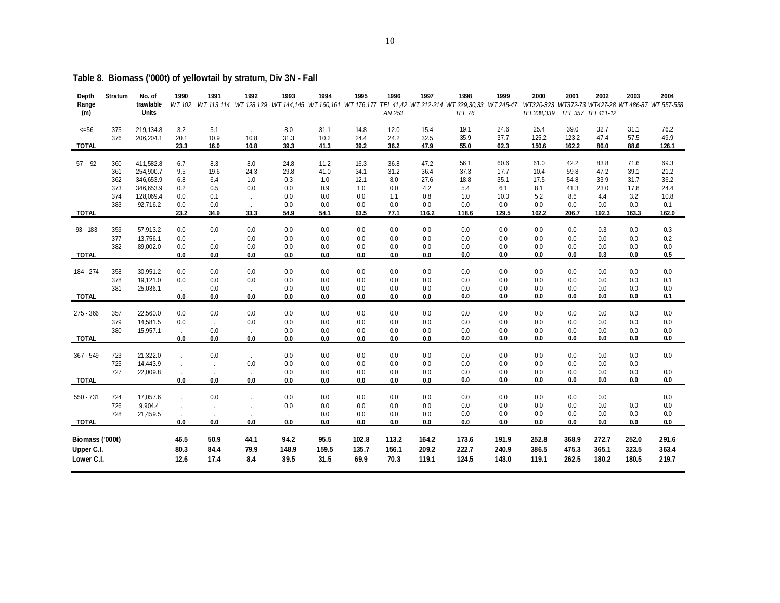| Depth<br>Range<br>(m) | <b>Stratum</b> | No. of<br>trawlable<br>Units | 1990          | 1991         | 1992         | 1993         | 1994         | 1995         | 1996<br>AN 253 | 1997         | 1998<br>WT 102 WT 113,114 WT 128,129 WT 144,145 WT 160,161 WT 176,177 TEL 41,42 WT 212-214 WT 229,30,33 WT 245-47<br><b>TEL 76</b> | 1999         | 2000<br>TEL338,339 | 2001           | 2002<br>TEL 357 TEL 411-12 | 2003         | 2004<br>WT320-323 WT372-73 WT427-28 WT 486-87 WT 557-558 |
|-----------------------|----------------|------------------------------|---------------|--------------|--------------|--------------|--------------|--------------|----------------|--------------|------------------------------------------------------------------------------------------------------------------------------------|--------------|--------------------|----------------|----------------------------|--------------|----------------------------------------------------------|
| $<=56$                | 375            | 219, 134.8                   | 3.2           | 5.1          |              | 8.0          | 31.1         | 14.8         | 12.0           | 15.4         | 19.1                                                                                                                               | 24.6         | 25.4               | 39.0           | 32.7                       | 31.1         | 76.2                                                     |
| <b>TOTAL</b>          | 376            | 206,204.1                    | 20.1<br>23.3  | 10.9<br>16.0 | 10.8<br>10.8 | 31.3<br>39.3 | 10.2<br>41.3 | 24.4<br>39.2 | 24.2<br>36.2   | 32.5<br>47.9 | 35.9<br>55.0                                                                                                                       | 37.7<br>62.3 | 125.2<br>150.6     | 123.2<br>162.2 | 47.4<br>80.0               | 57.5<br>88.6 | 49.9<br>126.1                                            |
| $57 - 92$             | 360            | 411,582.8                    | 6.7           | 8.3          | 8.0          | 24.8         | 11.2         | 16.3         | 36.8           | 47.2         | 56.1                                                                                                                               | 60.6         | 61.0               | 42.2           | 83.8                       | 71.6         | 69.3                                                     |
|                       | 361            | 254,900.7                    | 9.5           | 19.6         | 24.3         | 29.8         | 41.0         | 34.1         | 31.2           | 36.4         | 37.3                                                                                                                               | 17.7         | 10.4               | 59.8           | 47.2                       | 39.1         | 21.2                                                     |
|                       | 362<br>373     | 346,653.9<br>346,653.9       | 6.8<br>0.2    | 6.4<br>0.5   | 1.0          | 0.3<br>0.0   | 1.0<br>0.9   | 12.1<br>1.0  | 8.0<br>0.0     | 27.6<br>4.2  | 18.8<br>5.4                                                                                                                        | 35.1<br>6.1  | 17.5<br>8.1        | 54.8<br>41.3   | 33.9                       | 31.7         | 36.2                                                     |
|                       | 374            | 128,069.4                    | 0.0           | 0.1          | 0.0          | 0.0          | 0.0          | 0.0          | 1.1            | 0.8          | 1.0                                                                                                                                | 10.0         | 5.2                | 8.6            | 23.0<br>4.4                | 17.8<br>3.2  | 24.4<br>10.8                                             |
|                       | 383            | 92,716.2                     | 0.0           | 0.0          | $\sim$       | 0.0          | 0.0          | 0.0          | 0.0            | 0.0          | 0.0                                                                                                                                | 0.0          | 0.0                | 0.0            | 0.0                        | 0.0          | 0.1                                                      |
| <b>TOTAL</b>          |                |                              | 23.2          | 34.9         | 33.3         | 54.9         | 54.1         | 63.5         | 77.1           | 116.2        | 118.6                                                                                                                              | 129.5        | 102.2              | 206.7          | 192.3                      | 163.3        | 162.0                                                    |
| 93 - 183              | 359            | 57,913.2                     | 0.0           | 0.0          | 0.0          | 0.0          | 0.0          | 0.0          | 0.0            | 0.0          | 0.0                                                                                                                                | 0.0          | 0.0                | 0.0            | 0.3                        | 0.0          | 0.3                                                      |
|                       | 377            | 13,756.1                     | 0.0           | $\sim$       | 0.0          | 0.0          | 0.0          | 0.0          | 0.0            | 0.0          | 0.0                                                                                                                                | 0.0          | 0.0                | 0.0            | 0.0                        | 0.0          | 0.2                                                      |
|                       | 382            | 89,002.0                     | 0.0           | 0.0          | 0.0          | 0.0          | 0.0          | 0.0          | 0.0            | $0.0\,$      | 0.0                                                                                                                                | 0.0          | 0.0                | 0.0            | 0.0                        | 0.0          | 0.0                                                      |
| <b>TOTAL</b>          |                |                              | 0.0           | 0.0          | 0.0          | 0.0          | 0.0          | 0.0          | 0.0            | 0.0          | 0.0                                                                                                                                | 0.0          | 0.0                | 0.0            | 0.3                        | 0.0          | 0.5                                                      |
| 184 - 274             | 358            | 30,951.2                     | 0.0           | 0.0          | 0.0          | 0.0          | 0.0          | 0.0          | 0.0            | 0.0          | 0.0                                                                                                                                | 0.0          | 0.0                | 0.0            | 0.0                        | 0.0          | 0.0                                                      |
|                       | 378            | 19,121.0                     | 0.0           | 0.0          | 0.0          | 0.0          | 0.0          | 0.0          | 0.0            | 0.0          | 0.0                                                                                                                                | 0.0          | 0.0                | 0.0            | 0.0                        | 0.0          | 0.1                                                      |
|                       | 381            | 25,036.1                     | $\mathcal{L}$ | 0.0          | $\sim$       | 0.0          | 0.0          | 0.0          | 0.0            | 0.0          | 0.0                                                                                                                                | 0.0          | 0.0                | 0.0            | 0.0                        | 0.0          | 0.0                                                      |
| <b>TOTAL</b>          |                |                              | 0.0           | 0.0          | 0.0          | 0.0          | 0.0          | 0.0          | 0.0            | 0.0          | 0.0                                                                                                                                | 0.0          | 0.0                | 0.0            | 0.0                        | 0.0          | 0.1                                                      |
| $275 - 366$           | 357            | 22,560.0                     | 0.0           | 0.0          | 0.0          | 0.0          | 0.0          | 0.0          | 0.0            | 0.0          | 0.0                                                                                                                                | 0.0          | 0.0                | 0.0            | 0.0                        | 0.0          | 0.0                                                      |
|                       | 379            | 14,581.5                     | 0.0           | $\sim$       | 0.0          | 0.0          | 0.0          | 0.0          | 0.0            | 0.0          | 0.0                                                                                                                                | 0.0          | 0.0                | 0.0            | 0.0                        | 0.0          | 0.0                                                      |
|                       | 380            | 15,957.1                     |               | 0.0          | $\mathbf{r}$ | 0.0          | 0.0          | 0.0          | 0.0            | $0.0\,$      | 0.0                                                                                                                                | 0.0          | 0.0                | 0.0            | 0.0                        | 0.0          | 0.0                                                      |
| <b>TOTAL</b>          |                |                              | 0.0           | 0.0          | 0.0          | 0.0          | 0.0          | 0.0          | 0.0            | 0.0          | 0.0                                                                                                                                | 0.0          | 0.0                | 0.0            | 0.0                        | 0.0          | 0.0                                                      |
| 367 - 549             | 723            | 21,322.0                     |               | 0.0          |              | 0.0          | 0.0          | 0.0          | 0.0            | 0.0          | 0.0                                                                                                                                | 0.0          | 0.0                | 0.0            | 0.0                        | 0.0          | 0.0                                                      |
|                       | 725            | 14,443.9                     |               | $\mathbf{r}$ | 0.0          | 0.0          | 0.0          | 0.0          | 0.0            | 0.0          | 0.0                                                                                                                                | 0.0          | 0.0                | 0.0            | 0.0                        | 0.0          |                                                          |
|                       | 727            | 22,009.8                     |               | $\cdot$      | $\sim$       | 0.0          | 0.0          | 0.0          | 0.0            | 0.0          | 0.0                                                                                                                                | 0.0          | 0.0                | 0.0            | 0.0                        | 0.0          | 0.0                                                      |
| <b>TOTAL</b>          |                |                              | 0.0           | 0.0          | 0.0          | 0.0          | 0.0          | 0.0          | 0.0            | 0.0          | 0.0                                                                                                                                | 0.0          | 0.0                | 0.0            | 0.0                        | 0.0          | 0.0                                                      |
| $550 - 731$           | 724            | 17,057.6                     |               | 0.0          |              | 0.0          | 0.0          | 0.0          | 0.0            | 0.0          | 0.0                                                                                                                                | 0.0          | 0.0                | 0.0            | 0.0                        |              | 0.0                                                      |
|                       | 726            | 9,904.4                      |               | $\lambda$    |              | 0.0          | 0.0          | 0.0          | 0.0            | 0.0          | 0.0                                                                                                                                | 0.0          | 0.0                | 0.0            | 0.0                        | 0.0          | 0.0                                                      |
| <b>TOTAL</b>          | 728            | 21,459.5                     | 0.0           | $0.0\,$      | 0.0          | 0.0          | 0.0<br>0.0   | 0.0<br>0.0   | 0.0<br>0.0     | 0.0<br>0.0   | 0.0<br>0.0                                                                                                                         | 0.0<br>0.0   | 0.0<br>0.0         | 0.0<br>0.0     | 0.0<br>0.0                 | 0.0<br>0.0   | 0.0<br>0.0                                               |
|                       |                |                              |               |              |              |              |              |              |                |              |                                                                                                                                    |              |                    |                |                            |              |                                                          |
| Biomass ('000t)       |                |                              | 46.5          | 50.9         | 44.1         | 94.2         | 95.5         | 102.8        | 113.2          | 164.2        | 173.6                                                                                                                              | 191.9        | 252.8              | 368.9          | 272.7                      | 252.0        | 291.6                                                    |
| Upper C.I.            |                |                              | 80.3          | 84.4         | 79.9         | 148.9        | 159.5        | 135.7        | 156.1          | 209.2        | 222.7                                                                                                                              | 240.9        | 386.5              | 475.3          | 365.1                      | 323.5        | 363.4                                                    |
| Lower C.I.            |                |                              | 12.6          | 17.4         | 8.4          | 39.5         | 31.5         | 69.9         | 70.3           | 119.1        | 124.5                                                                                                                              | 143.0        | 119.1              | 262.5          | 180.2                      | 180.5        | 219.7                                                    |

# **Table 8. Biomass ('000t) of yellowtail by stratum, Div 3N - Fall**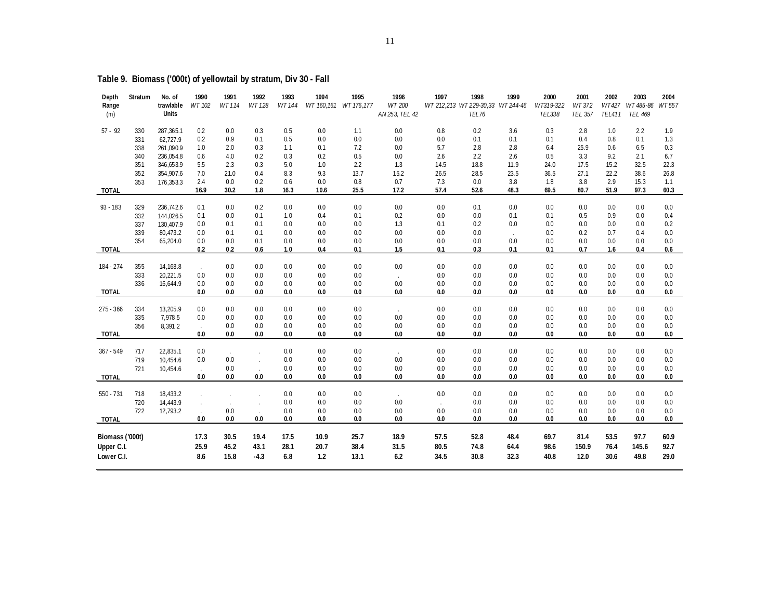| Depth<br>Range  | Stratum    | No. of<br>trawlable   | 1990<br>WT 102              | 1991<br>WT 114              | 1992<br>WT 128 | 1993<br>WT 144 | 1994        | 1995<br>WT 160,161 WT 176,177 | 1996<br>WT 200 | 1997        | 1998<br>WT 212,213 WT 229-30,33 WT 244-46 | 1999        | 2000<br>WT319-322 | 2001<br>WT 372 | 2002<br>WT427 | 2003<br>WT 485-86 WT 557 | 2004        |
|-----------------|------------|-----------------------|-----------------------------|-----------------------------|----------------|----------------|-------------|-------------------------------|----------------|-------------|-------------------------------------------|-------------|-------------------|----------------|---------------|--------------------------|-------------|
| (m)             |            | <b>Units</b>          |                             |                             |                |                |             |                               | AN 253, TEL 42 |             | TEL76                                     |             | TEL338            | <b>TEL 357</b> | <b>TEL411</b> | <b>TEL 469</b>           |             |
| $57 - 92$       | 330        | 287,365.1             | 0.2                         | 0.0                         | 0.3            | 0.5            | 0.0         | 1.1                           | 0.0            | 0.8         | 0.2                                       | 3.6         | 0.3               | 2.8            | 1.0           | 2.2                      | 1.9         |
|                 | 331        | 62,727.9              | 0.2                         | 0.9                         | 0.1            | 0.5            | 0.0         | 0.0                           | 0.0            | 0.0         | 0.1                                       | 0.1         | 0.1               | 0.4            | 0.8           | 0.1                      | 1.3         |
|                 | 338        | 261,090.9             | 1.0                         | 2.0                         | 0.3            | 1.1            | 0.1         | 7.2                           | 0.0            | 5.7         | 2.8                                       | 2.8         | 6.4               | 25.9           | 0.6           | 6.5                      | 0.3         |
|                 | 340        | 236,054.8             | 0.6                         | 4.0                         | 0.2            | 0.3            | 0.2         | 0.5                           | 0.0            | 2.6         | 2.2                                       | 2.6         | 0.5               | 3.3            | 9.2           | 2.1                      | 6.7         |
|                 | 351        | 346,653.9             | 5.5                         | 2.3                         | 0.3            | 5.0            | 1.0         | 2.2                           | 1.3            | 14.5        | 18.8                                      | 11.9        | 24.0              | 17.5           | 15.2          | 32.5                     | 22.3        |
|                 | 352        | 354,907.6             | 7.0                         | 21.0                        | 0.4            | 8.3            | 9.3         | 13.7                          | 15.2           | 26.5        | 28.5                                      | 23.5        | 36.5              | 27.1           | 22.2          | 38.6                     | 26.8        |
| <b>TOTAL</b>    | 353        | 176,353.3             | 2.4<br>16.9                 | 0.0<br>30.2                 | 0.2<br>1.8     | 0.6<br>16.3    | 0.0<br>10.6 | 0.8<br>25.5                   | 0.7<br>17.2    | 7.3<br>57.4 | 0.0<br>52.6                               | 3.8<br>48.3 | 1.8<br>69.5       | 3.8<br>80.7    | 2.9<br>51.9   | 15.3<br>97.3             | 1.1<br>60.3 |
|                 |            |                       |                             |                             |                |                |             |                               |                |             |                                           |             |                   |                |               |                          |             |
| $93 - 183$      | 329        | 236,742.6             | 0.1                         | 0.0                         | 0.2            | 0.0            | 0.0         | 0.0                           | 0.0            | 0.0         | 0.1                                       | 0.0         | 0.0               | 0.0            | 0.0           | 0.0                      | 0.0         |
|                 | 332        | 144,026.5             | 0.1                         | 0.0<br>0.1                  | 0.1<br>0.1     | 1.0<br>0.0     | 0.4<br>0.0  | 0.1<br>0.0                    | 0.2<br>1.3     | 0.0<br>0.1  | 0.0<br>0.2                                | 0.1<br>0.0  | 0.1<br>0.0        | 0.5<br>0.0     | 0.9<br>0.0    | 0.0<br>0.0               | 0.4<br>0.2  |
|                 | 337<br>339 | 130,407.9<br>80,473.2 | 0.0<br>$0.0\,$              | 0.1                         | 0.1            | 0.0            | 0.0         | 0.0                           | 0.0            | 0.0         | 0.0                                       |             | 0.0               | 0.2            | 0.7           | 0.4                      | 0.0         |
|                 | 354        | 65,204.0              | 0.0                         | 0.0                         | 0.1            | 0.0            | 0.0         | 0.0                           | 0.0            | 0.0         | 0.0                                       | 0.0         | 0.0               | 0.0            | 0.0           | 0.0                      | 0.0         |
| <b>TOTAL</b>    |            |                       | 0.2                         | 0.2                         | 0.6            | 1.0            | 0.4         | 0.1                           | 1.5            | 0.1         | 0.3                                       | 0.1         | 0.1               | 0.7            | 1.6           | 0.4                      | 0.6         |
|                 |            |                       |                             |                             |                |                |             |                               |                |             |                                           |             |                   |                |               |                          |             |
| 184 - 274       | 355        | 14,168.8              | $\mathbf{r}$                | 0.0                         | 0.0            | 0.0            | 0.0         | 0.0                           | 0.0            | 0.0         | 0.0                                       | 0.0         | 0.0               | 0.0            | 0.0           | 0.0                      | 0.0         |
|                 | 333        | 20,221.5              | 0.0                         | 0.0                         | 0.0            | 0.0            | 0.0         | 0.0                           | $\epsilon$     | 0.0         | 0.0                                       | 0.0         | 0.0               | 0.0            | 0.0           | 0.0                      | 0.0         |
|                 | 336        | 16,644.9              | 0.0                         | 0.0                         | 0.0            | 0.0            | 0.0         | 0.0                           | 0.0            | 0.0         | 0.0                                       | 0.0         | 0.0               | 0.0            | 0.0           | 0.0                      | 0.0         |
| <b>TOTAL</b>    |            |                       | 0.0                         | 0.0                         | 0.0            | 0.0            | 0.0         | 0.0                           | 0.0            | 0.0         | 0.0                                       | 0.0         | 0.0               | 0.0            | 0.0           | 0.0                      | 0.0         |
| $275 - 366$     | 334        | 13,205.9              | 0.0                         | 0.0                         | 0.0            | 0.0            | 0.0         | 0.0                           | $\epsilon$     | 0.0         | 0.0                                       | 0.0         | 0.0               | 0.0            | 0.0           | 0.0                      | 0.0         |
|                 | 335        | 7,978.5               | 0.0                         | 0.0                         | 0.0            | 0.0            | 0.0         | 0.0                           | 0.0            | 0.0         | 0.0                                       | 0.0         | 0.0               | 0.0            | 0.0           | 0.0                      | 0.0         |
|                 | 356        | 8,391.2               | $\mathcal{L}^{\mathcal{L}}$ | 0.0                         | 0.0            | 0.0            | 0.0         | 0.0                           | 0.0            | 0.0         | 0.0                                       | 0.0         | 0.0               | 0.0            | 0.0           | 0.0                      | 0.0         |
| <b>TOTAL</b>    |            |                       | 0.0                         | 0.0                         | 0.0            | 0.0            | 0.0         | 0.0                           | 0.0            | 0.0         | 0.0                                       | 0.0         | 0.0               | 0.0            | 0.0           | 0.0                      | 0.0         |
| 367 - 549       | 717        | 22,835.1              | 0.0                         | $\mathcal{L}_{\mathcal{A}}$ |                | 0.0            | 0.0         | 0.0                           | $\mathcal{L}$  | 0.0         | 0.0                                       | 0.0         | 0.0               | 0.0            | 0.0           | 0.0                      | 0.0         |
|                 | 719        | 10,454.6              | 0.0                         | 0.0                         |                | 0.0            | 0.0         | 0.0                           | 0.0            | 0.0         | 0.0                                       | 0.0         | 0.0               | 0.0            | 0.0           | 0.0                      | 0.0         |
|                 | 721        | 10,454.6              | $\mathcal{L}^{\mathcal{L}}$ | 0.0                         |                | 0.0            | 0.0         | 0.0                           | 0.0            | 0.0         | 0.0                                       | 0.0         | 0.0               | 0.0            | 0.0           | 0.0                      | 0.0         |
| <b>TOTAL</b>    |            |                       | 0.0                         | 0.0                         | 0.0            | 0.0            | 0.0         | 0.0                           | 0.0            | 0.0         | 0.0                                       | 0.0         | 0.0               | 0.0            | 0.0           | 0.0                      | 0.0         |
| $550 - 731$     | 718        | 18,433.2              |                             |                             |                | 0.0            | 0.0         | 0.0                           | $\sim$         | 0.0         | 0.0                                       | 0.0         | 0.0               | 0.0            | 0.0           | 0.0                      | 0.0         |
|                 | 720        | 14,443.9              |                             | $\cdot$                     |                | 0.0            | 0.0         | 0.0                           | 0.0            |             | 0.0                                       | 0.0         | 0.0               | 0.0            | 0.0           | 0.0                      | 0.0         |
|                 | 722        | 12,793.2              | $\epsilon$                  | 0.0                         |                | 0.0            | 0.0         | 0.0                           | 0.0            | 0.0         | 0.0                                       | 0.0         | 0.0               | 0.0            | 0.0           | 0.0                      | 0.0         |
| <b>TOTAL</b>    |            |                       | 0.0                         | 0.0                         | 0.0            | 0.0            | 0.0         | 0.0                           | 0.0            | 0.0         | 0.0                                       | 0.0         | 0.0               | 0.0            | 0.0           | 0.0                      | 0.0         |
| Biomass ('000t) |            |                       | 17.3                        | 30.5                        | 19.4           | 17.5           | 10.9        | 25.7                          | 18.9           | 57.5        | 52.8                                      | 48.4        | 69.7              | 81.4           | 53.5          | 97.7                     | 60.9        |
| Upper C.I.      |            |                       | 25.9                        | 45.2                        | 43.1           | 28.1           | 20.7        | 38.4                          | 31.5           | 80.5        | 74.8                                      | 64.4        | 98.6              | 150.9          | 76.4          | 145.6                    | 92.7        |
| Lower C.I.      |            |                       | 8.6                         | 15.8                        | $-4.3$         | 6.8            | 1.2         | 13.1                          | 6.2            | 34.5        | 30.8                                      | 32.3        | 40.8              | 12.0           | 30.6          | 49.8                     | 29.0        |
|                 |            |                       |                             |                             |                |                |             |                               |                |             |                                           |             |                   |                |               |                          |             |

# **Table 9. Biomass ('000t) of yellowtail by stratum, Div 30 - Fall**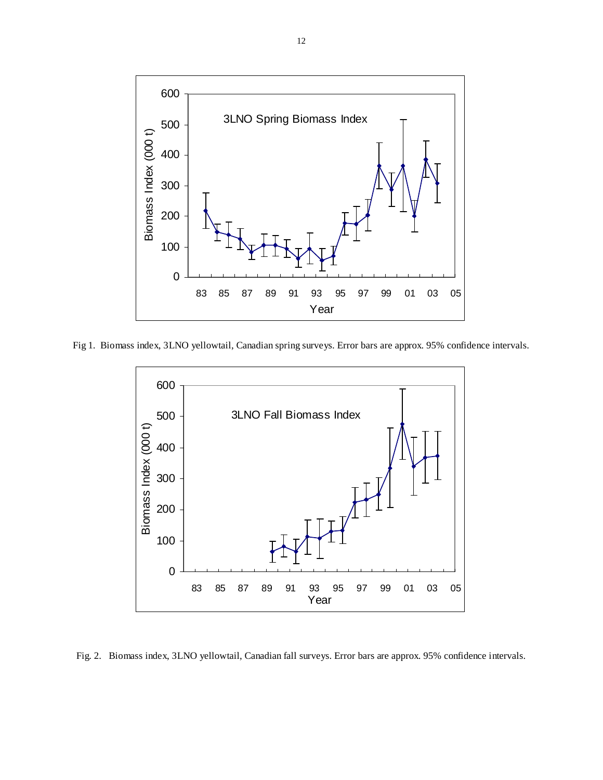

Fig 1. Biomass index, 3LNO yellowtail, Canadian spring surveys. Error bars are approx. 95% confidence intervals.



Fig. 2. Biomass index, 3LNO yellowtail, Canadian fall surveys. Error bars are approx. 95% confidence intervals.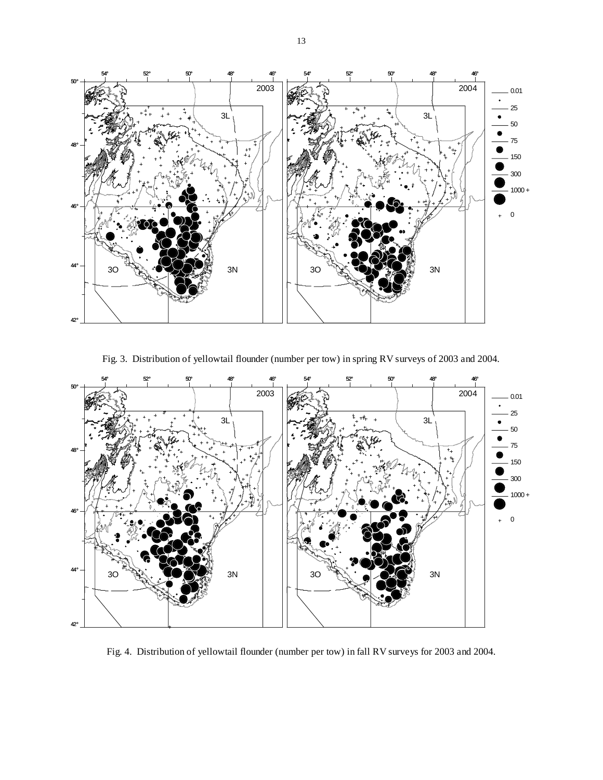

Fig. 3. Distribution of yellowtail flounder (number per tow) in spring RV surveys of 2003 and 2004.



Fig. 4. Distribution of yellowtail flounder (number per tow) in fall RV surveys for 2003 and 2004.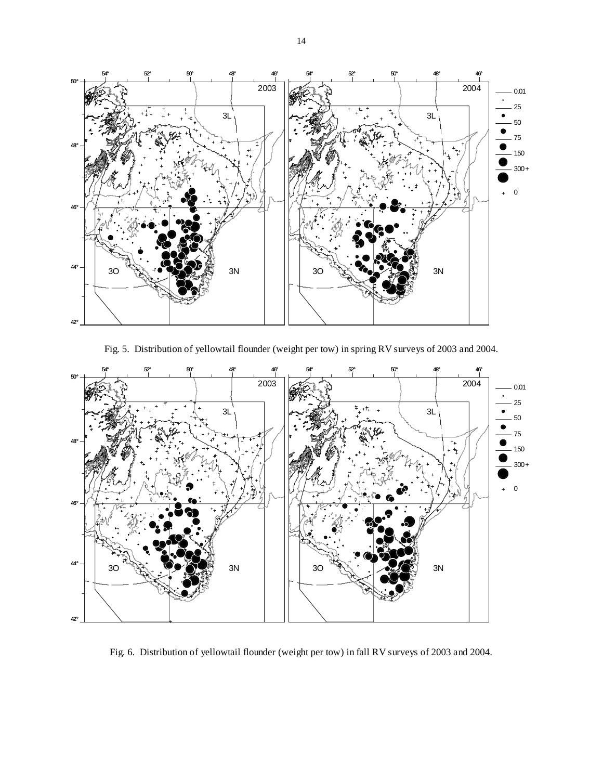

Fig. 5. Distribution of yellowtail flounder (weight per tow) in spring RV surveys of 2003 and 2004.



Fig. 6. Distribution of yellowtail flounder (weight per tow) in fall RV surveys of 2003 and 2004.